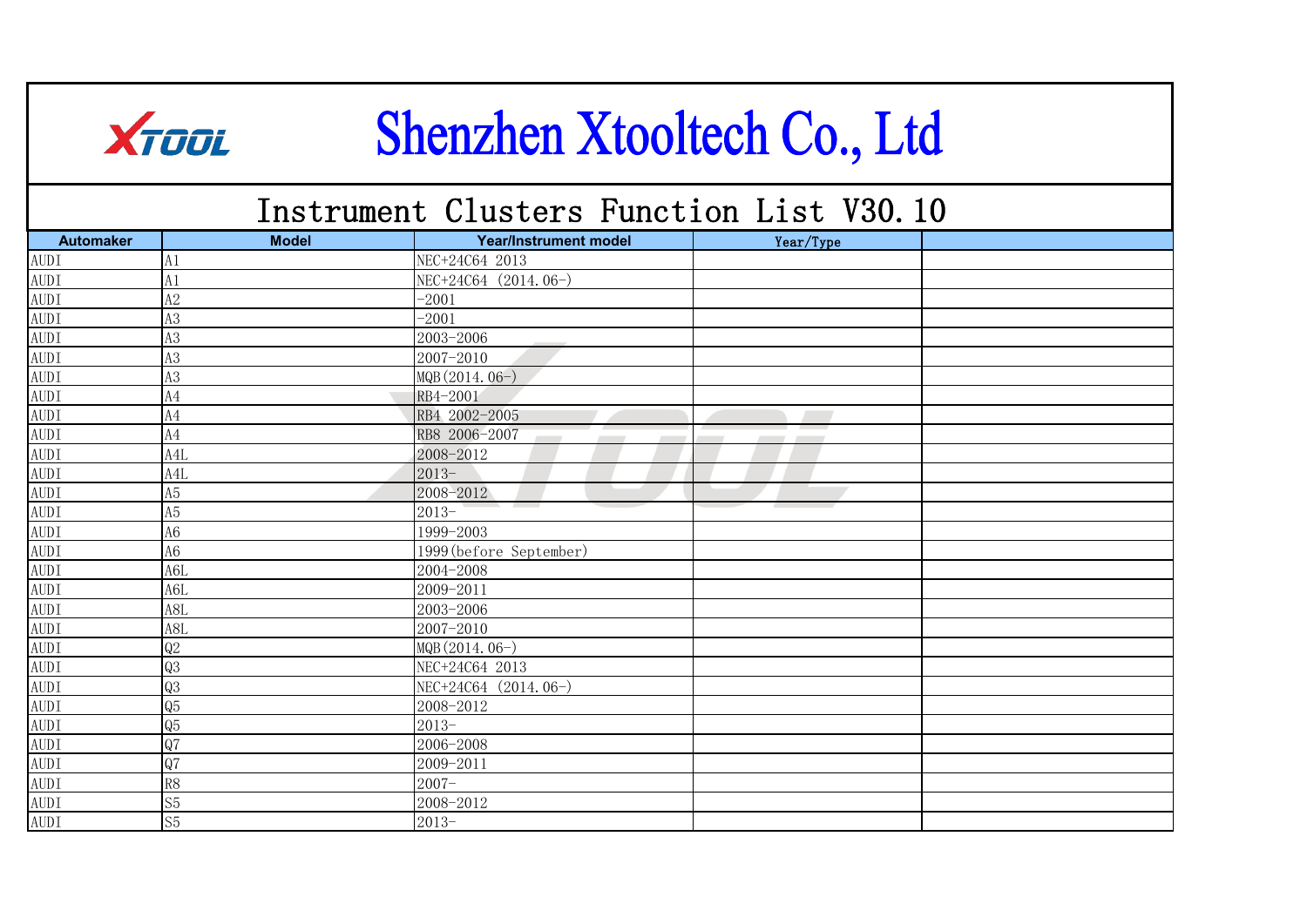|             | <b>XTOOL</b>     |              |                              | Shenzhen Xtooltech Co., Ltd              |  |
|-------------|------------------|--------------|------------------------------|------------------------------------------|--|
|             |                  |              |                              | Instrument Clusters Function List V30.10 |  |
|             | <b>Automaker</b> | <b>Model</b> | <b>Year/Instrument model</b> | Year/Type                                |  |
| <b>AUDI</b> | A1               |              | NEC+24C64 2013               |                                          |  |
| <b>AUDI</b> | A1               |              | NEC+24C64 (2014.06-)         |                                          |  |
| <b>AUDI</b> | A2               | $-2001$      |                              |                                          |  |
| <b>AUDI</b> | A3               | $-2001$      |                              |                                          |  |
| <b>AUDI</b> | A3               |              | 2003-2006                    |                                          |  |
| <b>AUDI</b> | A3               |              | 2007-2010                    |                                          |  |
| <b>AUDI</b> | A3               |              | MQB (2014.06-)               |                                          |  |
| <b>AUDI</b> | A4               |              | RB4-2001                     |                                          |  |
| <b>AUDI</b> | A4               |              | RB4 2002-2005                |                                          |  |
| <b>AUDI</b> | A4               |              | RB8 2006-2007                |                                          |  |
| <b>AUDI</b> | A <sub>4</sub> L |              | 2008-2012                    |                                          |  |
| <b>AUDI</b> | A4L              | $2013-$      |                              |                                          |  |
| <b>AUDI</b> | A5               |              | 2008-2012                    |                                          |  |
| <b>AUDI</b> | A5               | $2013-$      |                              |                                          |  |
| <b>AUDI</b> | A6               |              | 1999-2003                    |                                          |  |
| <b>AUDI</b> | A6               |              | 1999 (before September)      |                                          |  |
| <b>AUDI</b> | A6L              |              | 2004-2008                    |                                          |  |
| <b>AUDI</b> | A6L              |              | 2009-2011                    |                                          |  |
| <b>AUDI</b> | A8L              |              | 2003-2006                    |                                          |  |
| <b>AUDI</b> | A8L              |              | 2007-2010                    |                                          |  |
| <b>AUDI</b> | Q2               |              | MQB (2014.06-)               |                                          |  |
| <b>AUDI</b> | Q3               |              | NEC+24C64 2013               |                                          |  |
| <b>AUDI</b> | Q3               |              | NEC+24C64 (2014.06-)         |                                          |  |
| <b>AUDI</b> | Q <sub>5</sub>   |              | 2008-2012                    |                                          |  |
| <b>AUDI</b> | Q5               | $2013-$      |                              |                                          |  |
| <b>AUDI</b> | Q7               |              | 2006-2008                    |                                          |  |
| <b>AUDI</b> | Q7               |              | 2009-2011                    |                                          |  |
| <b>AUDI</b> | R8               | $2007 -$     |                              |                                          |  |
| <b>AUDI</b> | S <sub>5</sub>   |              | 2008-2012                    |                                          |  |
| <b>AUDI</b> | S <sub>5</sub>   | $2013-$      |                              |                                          |  |

H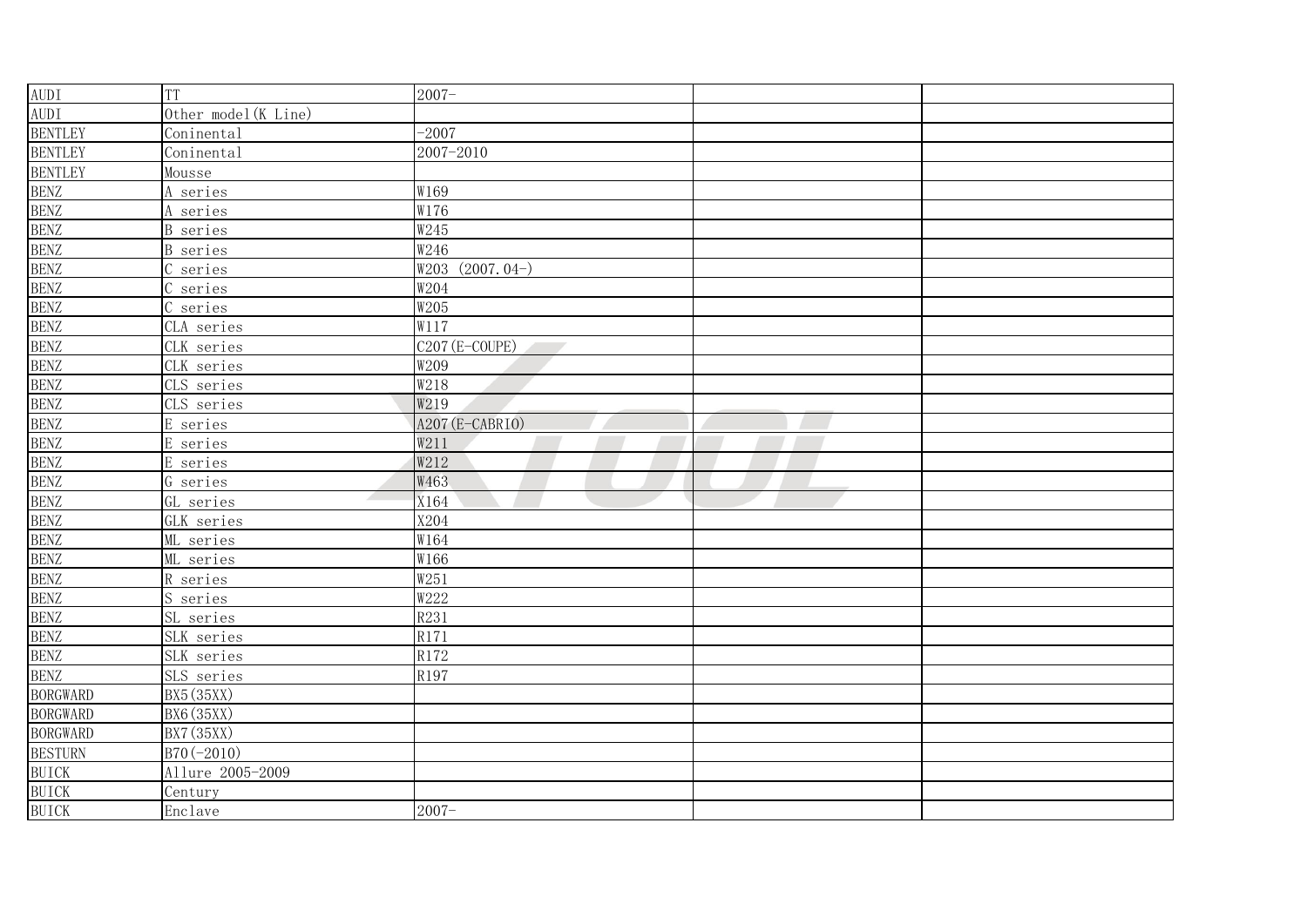| <b>AUDI</b>     | <b>TT</b>                             | $2007 -$          |  |
|-----------------|---------------------------------------|-------------------|--|
| <b>AUDI</b>     | Other model (K Line)                  |                   |  |
| <b>BENTLEY</b>  | Coninental                            | $-2007$           |  |
| <b>BENTLEY</b>  | Coninental                            | 2007-2010         |  |
| <b>BENTLEY</b>  | Mousse                                |                   |  |
| <b>BENZ</b>     | A series                              | W169              |  |
| <b>BENZ</b>     | A series                              | W176              |  |
| <b>BENZ</b>     | <b>B</b> series                       | W245              |  |
| <b>BENZ</b>     | <b>B</b> series                       | W246              |  |
| <b>BENZ</b>     | series                                | $W203$ (2007.04-) |  |
| <b>BENZ</b>     | series                                | W204              |  |
| <b>BENZ</b>     | C series                              | W205              |  |
| <b>BENZ</b>     | CLA series                            | W117              |  |
| <b>BENZ</b>     | CLK series                            | C207 (E-COUPE)    |  |
| <b>BENZ</b>     | CLK series                            | W209              |  |
| <b>BENZ</b>     | CLS series                            | W218              |  |
| <b>BENZ</b>     | CLS series                            | W219              |  |
| <b>BENZ</b>     | E series                              | A207 (E-CABRIO)   |  |
| <b>BENZ</b>     | E series                              | W211              |  |
| <b>BENZ</b>     | E series                              | W212              |  |
| <b>BENZ</b>     | G series                              | W463              |  |
| <b>BENZ</b>     | $\overline{\phantom{a}}$<br>GL series | X164              |  |
| <b>BENZ</b>     | GLK series                            | X204              |  |
| <b>BENZ</b>     | ML series                             | W164              |  |
| <b>BENZ</b>     | ML series                             | W166              |  |
| <b>BENZ</b>     | R series                              | W251              |  |
| <b>BENZ</b>     | S series                              | W222              |  |
| <b>BENZ</b>     | SL series                             | R231              |  |
| <b>BENZ</b>     | SLK series                            | R171              |  |
| <b>BENZ</b>     | SLK series                            | R172              |  |
| <b>BENZ</b>     | SLS series                            | R197              |  |
| <b>BORGWARD</b> | BX5 (35XX)                            |                   |  |
| <b>BORGWARD</b> | BX6 (35XX)                            |                   |  |
| <b>BORGWARD</b> | BX7 (35XX)                            |                   |  |
| <b>BESTURN</b>  | B70(-2010)                            |                   |  |
| <b>BUICK</b>    | Allure 2005-2009                      |                   |  |
| <b>BUICK</b>    | Century                               |                   |  |
| <b>BUICK</b>    | Enclave                               | $2007 -$          |  |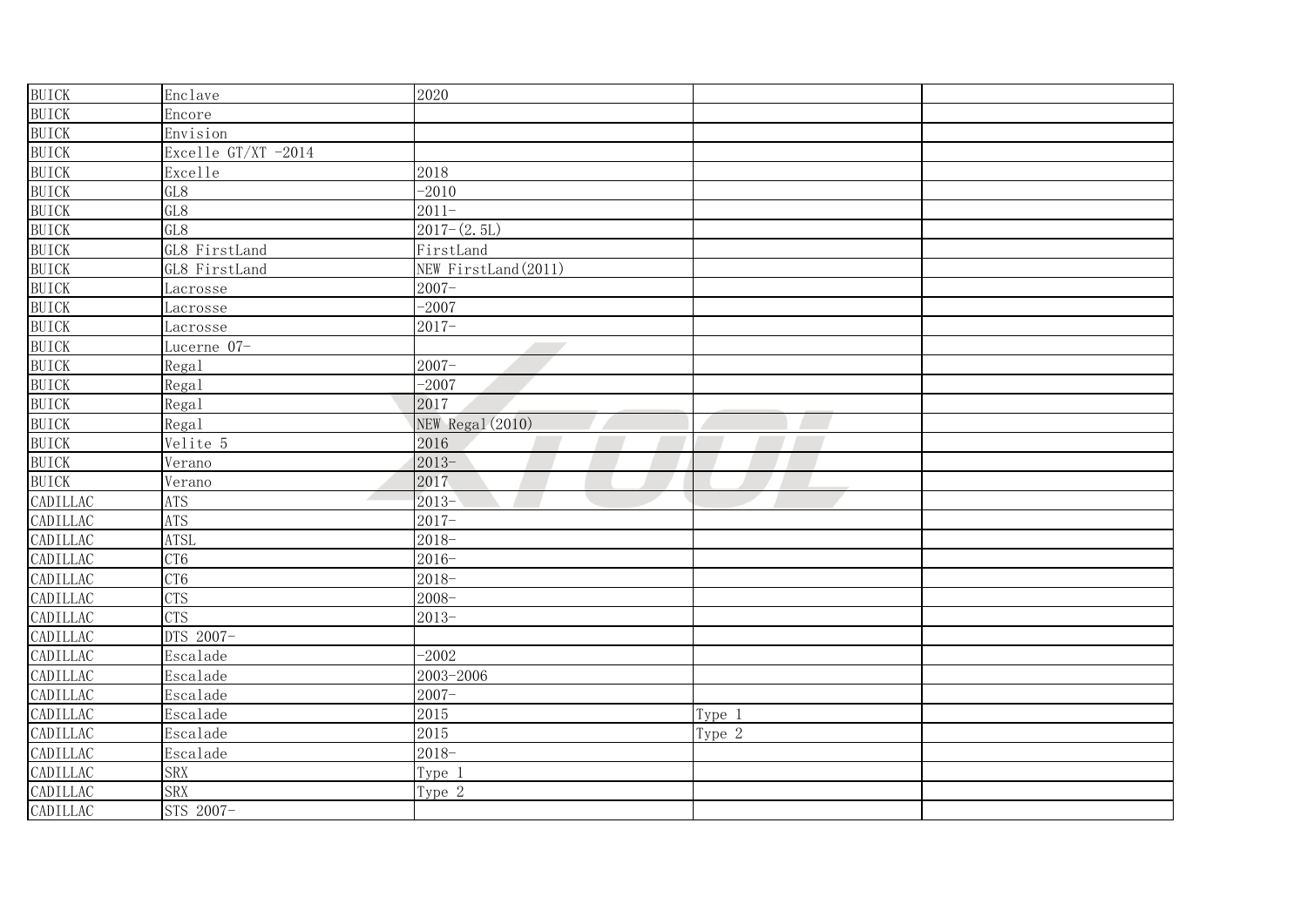| <b>BUICK</b> | Enclave             | 2020                    |        |  |
|--------------|---------------------|-------------------------|--------|--|
| <b>BUICK</b> | Encore              |                         |        |  |
| <b>BUICK</b> | Envision            |                         |        |  |
| <b>BUICK</b> | Excelle GT/XT -2014 |                         |        |  |
| <b>BUICK</b> | Excelle             | 2018                    |        |  |
| <b>BUICK</b> | GL8                 | $-2010$                 |        |  |
| <b>BUICK</b> | GL8                 | $2011 -$                |        |  |
| <b>BUICK</b> | GL8                 | $2017-(2.5L)$           |        |  |
| <b>BUICK</b> | GL8 FirstLand       | FirstLand               |        |  |
| <b>BUICK</b> | GL8 FirstLand       | NEW FirstLand (2011)    |        |  |
| <b>BUICK</b> | Lacrosse            | $2007 -$                |        |  |
| <b>BUICK</b> | <u>Lacrosse</u>     | $-2007$                 |        |  |
| <b>BUICK</b> | Lacrosse            | $2017 -$                |        |  |
| <b>BUICK</b> | Lucerne 07-         |                         |        |  |
| <b>BUICK</b> | Regal               | $2007 -$                |        |  |
| <b>BUICK</b> | Regal               | $-2007$                 |        |  |
| <b>BUICK</b> | Regal               | 2017                    |        |  |
| <b>BUICK</b> | Regal               | <b>NEW Regal (2010)</b> |        |  |
| <b>BUICK</b> | Velite 5            | 2016                    |        |  |
| <b>BUICK</b> | Verano              | $2013-$                 |        |  |
| <b>BUICK</b> | Verano              | 2017                    |        |  |
| CADILLAC     | <b>ATS</b>          | $2013-$                 |        |  |
| CADILLAC     | <b>ATS</b>          | $2017 -$                |        |  |
| CADILLAC     | <b>ATSL</b>         | $2018 -$                |        |  |
| CADILLAC     | CT <sub>6</sub>     | $2016 -$                |        |  |
| CADILLAC     | CT <sub>6</sub>     | $2018-$                 |        |  |
| CADILLAC     | <b>CTS</b>          | $2008 -$                |        |  |
| CADILLAC     | <b>CTS</b>          | $2013 -$                |        |  |
| CADILLAC     | DTS 2007-           |                         |        |  |
| CADILLAC     | Escalade            | $-2002$                 |        |  |
| CADILLAC     | Escalade            | 2003-2006               |        |  |
| CADILLAC     | Escalade            | $2007 -$                |        |  |
| CADILLAC     | Escalade            | 2015                    | Type 1 |  |
| CADILLAC     | Escalade            | 2015                    | Type 2 |  |
| CADILLAC     | Escalade            | $2018 -$                |        |  |
| CADILLAC     | <b>SRX</b>          | Type 1                  |        |  |
| CADILLAC     | <b>SRX</b>          | Type <sub>2</sub>       |        |  |
| CADILLAC     | STS 2007-           |                         |        |  |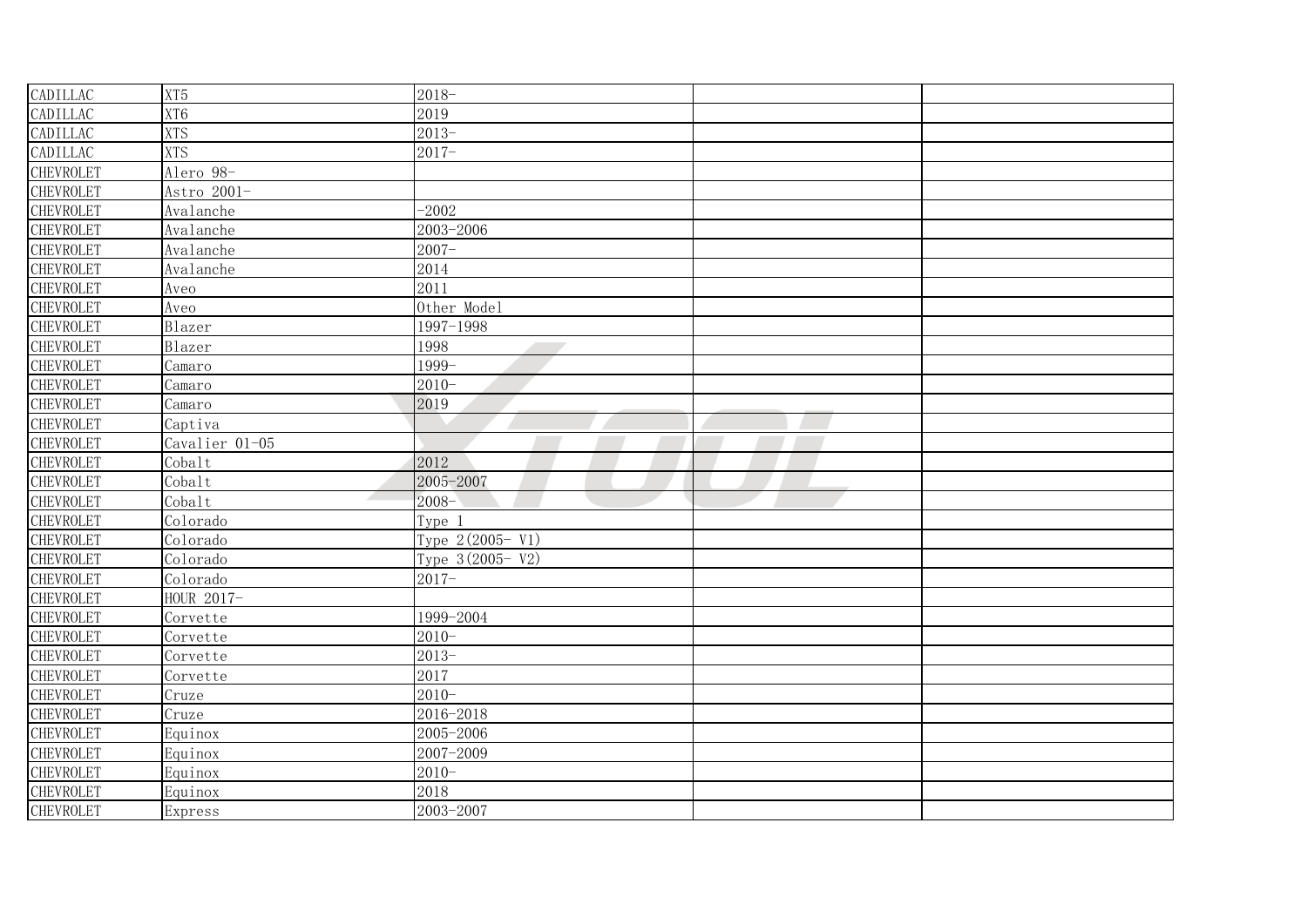| <b>CADILLAC</b>  | XT <sub>5</sub> | $2018-$           |  |
|------------------|-----------------|-------------------|--|
| CADILLAC         | XT6             | 2019              |  |
| CADILLAC         | <b>XTS</b>      | $2013-$           |  |
| CADILLAC         | <b>XTS</b>      | $2017 -$          |  |
| <b>CHEVROLET</b> | Alero 98-       |                   |  |
| <b>CHEVROLET</b> | Astro 2001-     |                   |  |
| CHEVROLET        | Avalanche       | $-2002$           |  |
| CHEVROLET        | Avalanche       | 2003-2006         |  |
| <b>CHEVROLET</b> | Avalanche       | $2007 -$          |  |
| <b>CHEVROLET</b> | Avalanche       | 2014              |  |
| CHEVROLET        | Aveo            | 2011              |  |
| CHEVROLET        | Aveo            | Other Model       |  |
| CHEVROLET        | Blazer          | 1997-1998         |  |
| CHEVROLET        | Blazer          | 1998              |  |
| <b>CHEVROLET</b> | Camaro          | 1999-             |  |
| <b>CHEVROLET</b> | Camaro          | $2010 -$          |  |
| CHEVROLET        | Camaro          | 2019              |  |
| CHEVROLET        | Captiva         |                   |  |
| CHEVROLET        | Cavalier 01-05  |                   |  |
| CHEVROLET        | Cobalt          | 2012              |  |
| CHEVROLET        | Cobalt          | 2005-2007         |  |
| CHEVROLET        | Cobalt          | $2008 -$          |  |
| <b>CHEVROLET</b> | Colorado        | Type 1            |  |
| CHEVROLET        | Colorado        | Type 2(2005- V1)  |  |
| <b>CHEVROLET</b> | Colorado        | Type 3 (2005- V2) |  |
| <b>CHEVROLET</b> | Colorado        | $2017 -$          |  |
| CHEVROLET        | HOUR 2017-      |                   |  |
| CHEVROLET        | Corvette        | 1999-2004         |  |
| <b>CHEVROLET</b> | Corvette        | $2010 -$          |  |
| CHEVROLET        | Corvette        | $2013-$           |  |
| CHEVROLET        | Corvette        | 2017              |  |
| CHEVROLET        | Cruze           | $2010 -$          |  |
| <b>CHEVROLET</b> | Cruze           | 2016-2018         |  |
| CHEVROLET        | Equinox         | 2005-2006         |  |
| CHEVROLET        | Equinox         | 2007-2009         |  |
| CHEVROLET        | Equinox         | $2010 -$          |  |
| CHEVROLET        | Equinox         | 2018              |  |
| <b>CHEVROLET</b> | Express         | 2003-2007         |  |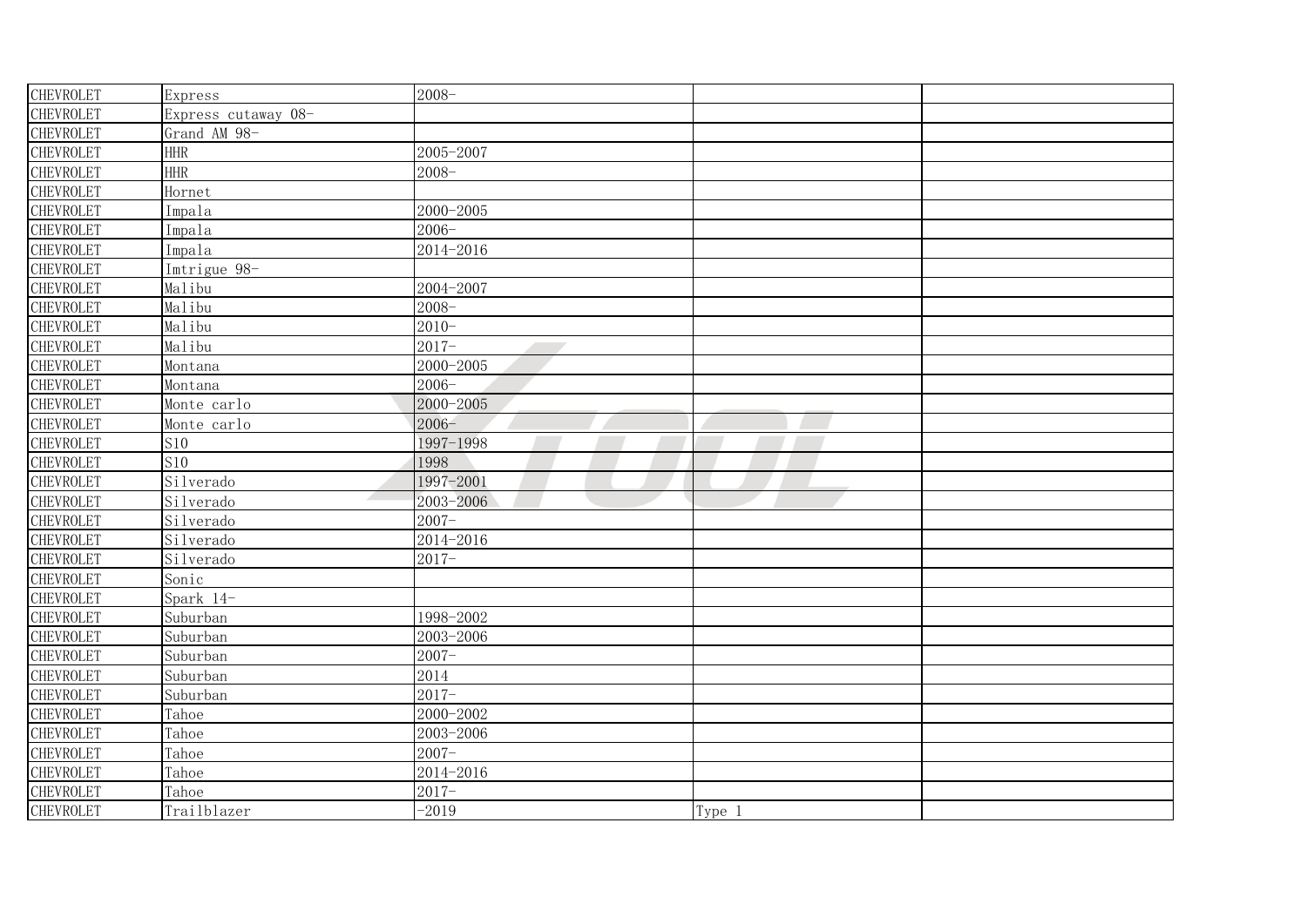| CHEVROLET        | Express             | $2008 -$  |        |  |
|------------------|---------------------|-----------|--------|--|
| <b>CHEVROLET</b> | Express cutaway 08- |           |        |  |
| <b>CHEVROLET</b> | Grand AM 98-        |           |        |  |
| CHEVROLET        | <b>HHR</b>          | 2005-2007 |        |  |
| CHEVROLET        | <b>HHR</b>          | $2008 -$  |        |  |
| <b>CHEVROLET</b> | Hornet              |           |        |  |
| CHEVROLET        | Impala              | 2000-2005 |        |  |
| <b>CHEVROLET</b> | Impala              | $2006 -$  |        |  |
| <b>CHEVROLET</b> | Impala              | 2014-2016 |        |  |
| <b>CHEVROLET</b> | Imtrigue 98-        |           |        |  |
| CHEVROLET        | Malibu              | 2004-2007 |        |  |
| CHEVROLET        | Malibu              | $2008 -$  |        |  |
| CHEVROLET        | Malibu              | $2010 -$  |        |  |
| <b>CHEVROLET</b> | Malibu              | $2017 -$  |        |  |
| <b>CHEVROLET</b> | Montana             | 2000-2005 |        |  |
| CHEVROLET        | Montana             | $2006 -$  |        |  |
| CHEVROLET        | Monte carlo         | 2000-2005 |        |  |
| CHEVROLET        | Monte carlo         | $2006 -$  |        |  |
| <b>CHEVROLET</b> | S <sub>10</sub>     | 1997-1998 |        |  |
| CHEVROLET        | S10                 | 1998      |        |  |
| CHEVROLET        | Silverado           | 1997-2001 |        |  |
| <b>CHEVROLET</b> | Silverado           | 2003-2006 |        |  |
| CHEVROLET        | Silverado           | $2007 -$  |        |  |
| CHEVROLET        | Silverado           | 2014-2016 |        |  |
| <b>CHEVROLET</b> | Silverado           | $2017 -$  |        |  |
| <b>CHEVROLET</b> | Sonic               |           |        |  |
| CHEVROLET        | Spark 14-           |           |        |  |
| CHEVROLET        | Suburban            | 1998-2002 |        |  |
| <b>CHEVROLET</b> | Suburban            | 2003-2006 |        |  |
| CHEVROLET        | Suburban            | $2007 -$  |        |  |
| <b>CHEVROLET</b> | Suburban            | 2014      |        |  |
| CHEVROLET        | Suburban            | $2017 -$  |        |  |
| CHEVROLET        | Tahoe               | 2000-2002 |        |  |
| CHEVROLET        | Tahoe               | 2003-2006 |        |  |
| CHEVROLET        | Tahoe               | $2007 -$  |        |  |
| CHEVROLET        | Tahoe               | 2014-2016 |        |  |
| <b>CHEVROLET</b> | Tahoe               | $2017 -$  |        |  |
| CHEVROLET        | Trailblazer         | $-2019$   | Type 1 |  |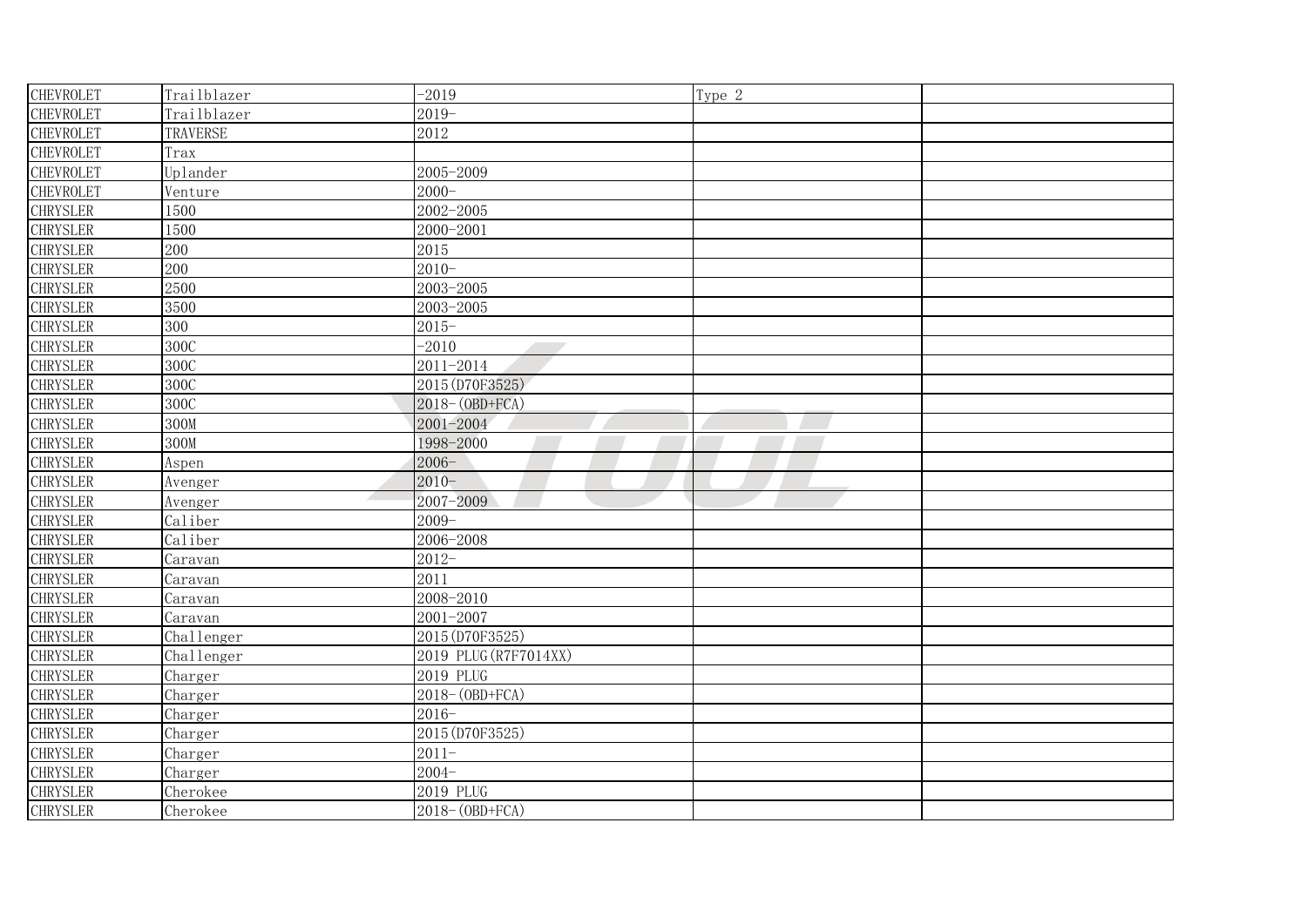| <b>CHEVROLET</b> | Trailblazer | $-2019$               | Type 2 |  |
|------------------|-------------|-----------------------|--------|--|
| <b>CHEVROLET</b> | Trailblazer | $2019-$               |        |  |
| CHEVROLET        | TRAVERSE    | 2012                  |        |  |
| CHEVROLET        | Trax        |                       |        |  |
| CHEVROLET        | Uplander    | 2005-2009             |        |  |
| CHEVROLET        | Venture     | $2000 -$              |        |  |
| <b>CHRYSLER</b>  | 1500        | 2002-2005             |        |  |
| <b>CHRYSLER</b>  | 1500        | 2000-2001             |        |  |
| <b>CHRYSLER</b>  | 200         | 2015                  |        |  |
| <b>CHRYSLER</b>  | 200         | $2010 -$              |        |  |
| <b>CHRYSLER</b>  | 2500        | 2003-2005             |        |  |
| <b>CHRYSLER</b>  | 3500        | 2003-2005             |        |  |
| <b>CHRYSLER</b>  | 300         | $2015 -$              |        |  |
| <b>CHRYSLER</b>  | 300C        | $-2010$               |        |  |
| <b>CHRYSLER</b>  | 300C        | 2011-2014             |        |  |
| <b>CHRYSLER</b>  | 300C        | 2015 (D70F3525)       |        |  |
| <b>CHRYSLER</b>  | 300C        | 2018-(OBD+FCA)        |        |  |
| <b>CHRYSLER</b>  | 300M        | 2001-2004             |        |  |
| <b>CHRYSLER</b>  | 300M        | 1998-2000             |        |  |
| <b>CHRYSLER</b>  | Aspen       | $2006 -$              |        |  |
| <b>CHRYSLER</b>  | Avenger     | $2010 -$              |        |  |
| <b>CHRYSLER</b>  | Avenger     | 2007-2009             |        |  |
| <b>CHRYSLER</b>  | Caliber     | $2009 -$              |        |  |
| <b>CHRYSLER</b>  | Caliber     | 2006-2008             |        |  |
| <b>CHRYSLER</b>  | Caravan     | $2012 -$              |        |  |
| <b>CHRYSLER</b>  | Caravan     | 2011                  |        |  |
| <b>CHRYSLER</b>  | Caravan     | 2008-2010             |        |  |
| <b>CHRYSLER</b>  | Caravan     | 2001-2007             |        |  |
| <b>CHRYSLER</b>  | Challenger  | 2015 (D70F3525)       |        |  |
| <b>CHRYSLER</b>  | Challenger  | 2019 PLUG (R7F7014XX) |        |  |
| <b>CHRYSLER</b>  | Charger     | 2019 PLUG             |        |  |
| <b>CHRYSLER</b>  | Charger     | 2018-(OBD+FCA)        |        |  |
| <b>CHRYSLER</b>  | Charger     | $2016 -$              |        |  |
| <b>CHRYSLER</b>  | Charger     | 2015 (D70F3525)       |        |  |
| <b>CHRYSLER</b>  | Charger     | $2011 -$              |        |  |
| <b>CHRYSLER</b>  | Charger     | $2004 -$              |        |  |
| <b>CHRYSLER</b>  | Cherokee    | 2019 PLUG             |        |  |
| <b>CHRYSLER</b>  | Cherokee    | 2018-(OBD+FCA)        |        |  |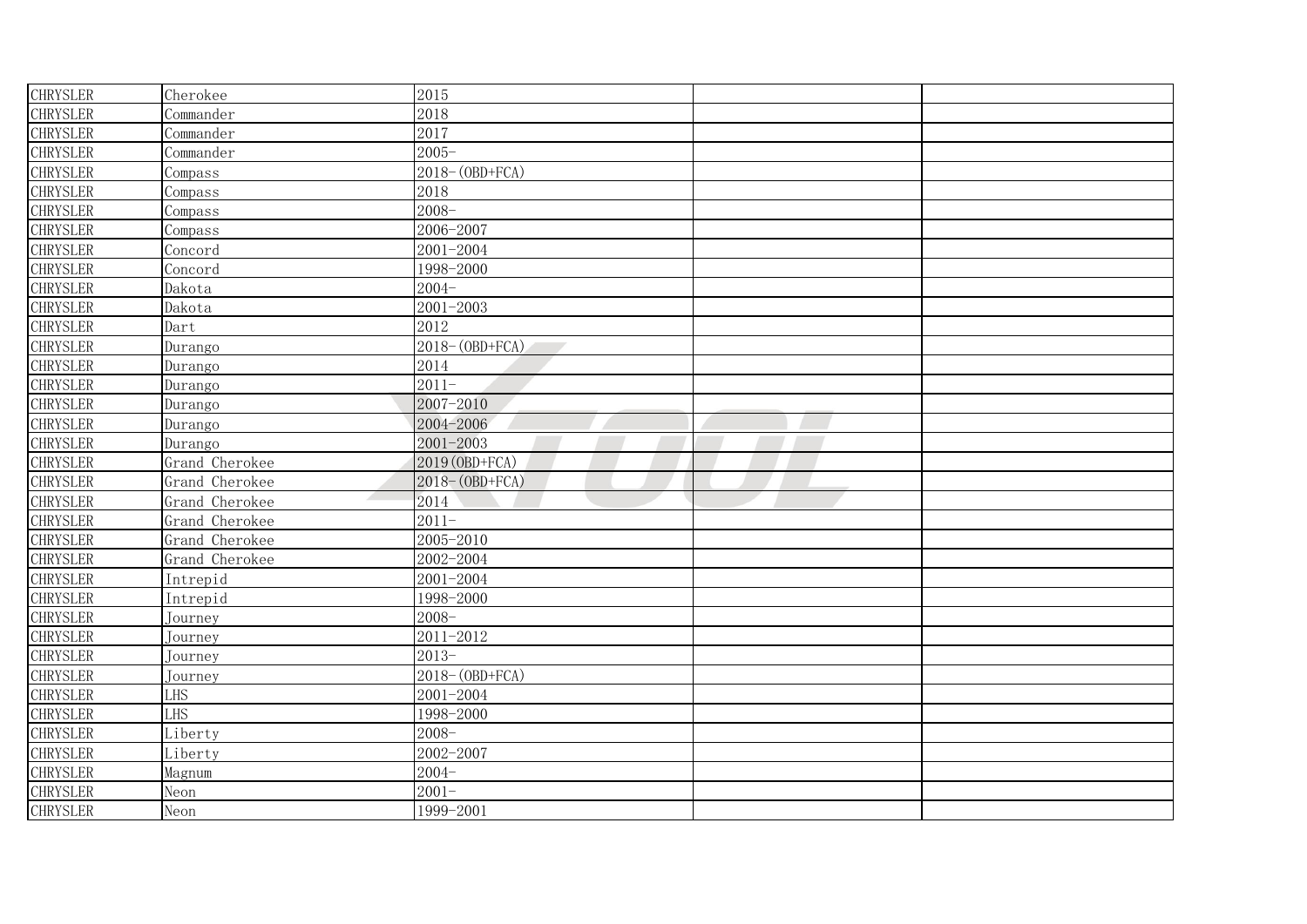| <b>CHRYSLER</b> | Cherokee       | 2015                 |  |
|-----------------|----------------|----------------------|--|
| <b>CHRYSLER</b> | Commander      | 2018                 |  |
| <b>CHRYSLER</b> | Commander      | 2017                 |  |
| <b>CHRYSLER</b> | Commander      | $2005 -$             |  |
| <b>CHRYSLER</b> | Compass        | 2018-(OBD+FCA)       |  |
| <b>CHRYSLER</b> | Compass        | 2018                 |  |
| <b>CHRYSLER</b> | Compass        | $2008 -$             |  |
| <b>CHRYSLER</b> | Compass        | 2006-2007            |  |
| <b>CHRYSLER</b> | Concord        | 2001-2004            |  |
| <b>CHRYSLER</b> | Concord        | 1998-2000            |  |
| <b>CHRYSLER</b> | Dakota         | $2004 -$             |  |
| <b>CHRYSLER</b> | Dakota         | $2001 - 2003$        |  |
| <b>CHRYSLER</b> | Dart           | 2012                 |  |
| <b>CHRYSLER</b> | Durango        | $2018 - (OBD + FCA)$ |  |
| <b>CHRYSLER</b> | Durango        | 2014                 |  |
| <b>CHRYSLER</b> | Durango        | $2011 -$             |  |
| <b>CHRYSLER</b> | Durango        | 2007-2010            |  |
| <b>CHRYSLER</b> | Durango        | 2004-2006            |  |
| <b>CHRYSLER</b> | Durango        | 2001-2003            |  |
| <b>CHRYSLER</b> | Grand Cherokee | 2019 (OBD+FCA)       |  |
| <b>CHRYSLER</b> | Grand Cherokee | 2018-(OBD+FCA)       |  |
| <b>CHRYSLER</b> | Grand Cherokee | 2014                 |  |
| <b>CHRYSLER</b> | Grand Cherokee | $2011 -$             |  |
| <b>CHRYSLER</b> | Grand Cherokee | 2005-2010            |  |
| <b>CHRYSLER</b> | Grand Cherokee | 2002-2004            |  |
| <b>CHRYSLER</b> | Intrepid       | 2001-2004            |  |
| <b>CHRYSLER</b> | Intrepid       | 1998-2000            |  |
| <b>CHRYSLER</b> | Journey        | $2008 -$             |  |
| <b>CHRYSLER</b> | Journey        | 2011-2012            |  |
| <b>CHRYSLER</b> | Journey        | $2013-$              |  |
| <b>CHRYSLER</b> | Journey        | 2018-(OBD+FCA)       |  |
| <b>CHRYSLER</b> | LHS            | 2001-2004            |  |
| <b>CHRYSLER</b> | LHS            | 1998-2000            |  |
| <b>CHRYSLER</b> | Liberty        | $2008 -$             |  |
| <b>CHRYSLER</b> | Liberty        | 2002-2007            |  |
| <b>CHRYSLER</b> | Magnum         | $2004 -$             |  |
| <b>CHRYSLER</b> | Neon           | $2001 -$             |  |
| <b>CHRYSLER</b> | Neon           | 1999-2001            |  |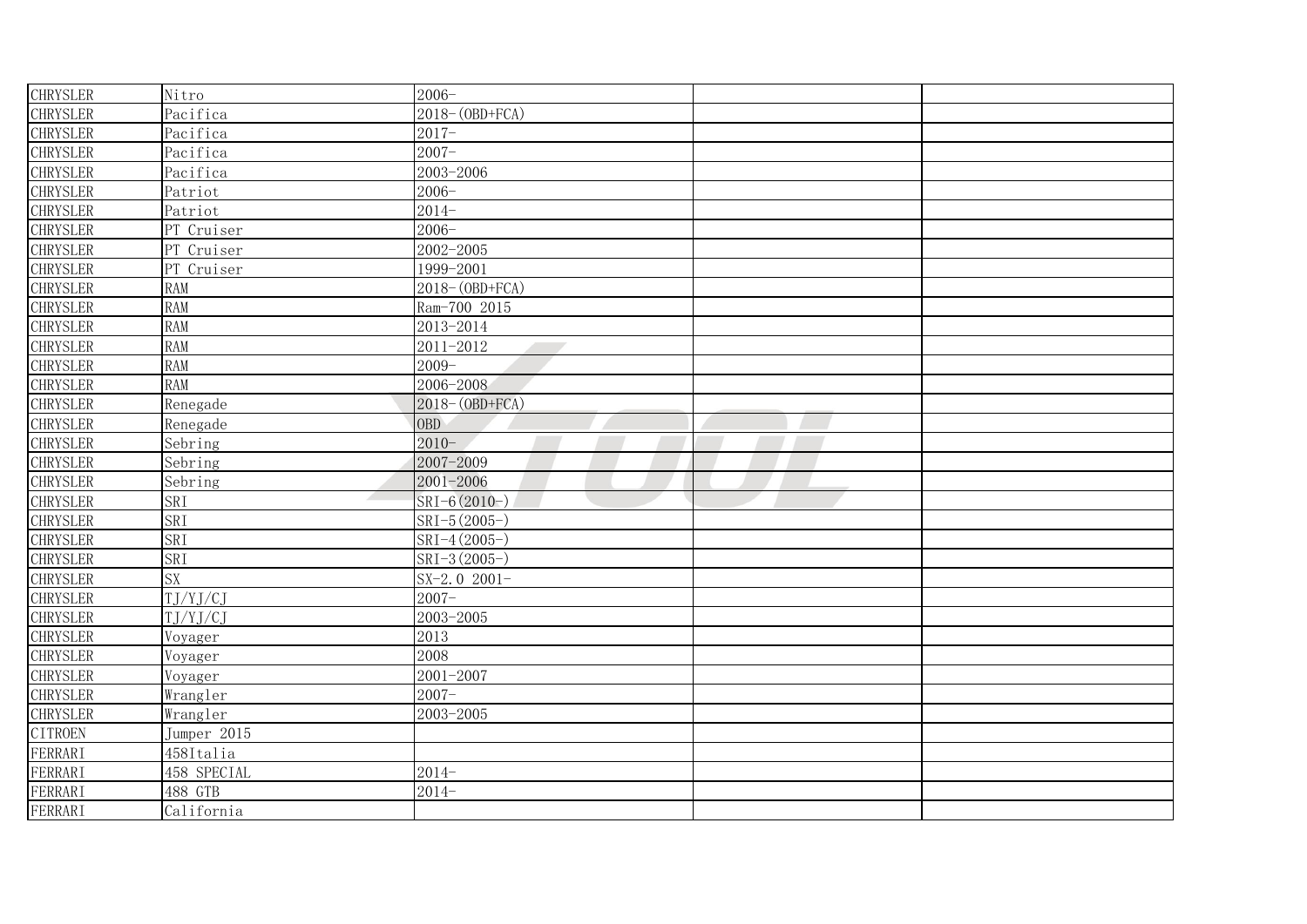| <b>CHRYSLER</b> | Nitro                                           | $2006 -$             |  |
|-----------------|-------------------------------------------------|----------------------|--|
| <b>CHRYSLER</b> | Pacifica                                        | 2018-(OBD+FCA)       |  |
| <b>CHRYSLER</b> | Pacifica                                        | $2017 -$             |  |
| <b>CHRYSLER</b> | Pacifica                                        | $2007 -$             |  |
| <b>CHRYSLER</b> | Pacifica                                        | 2003-2006            |  |
| <b>CHRYSLER</b> | Patriot                                         | $2006 -$             |  |
| <b>CHRYSLER</b> | Patriot                                         | $2014 -$             |  |
| <b>CHRYSLER</b> | PT Cruiser                                      | $2006 -$             |  |
| <b>CHRYSLER</b> | PT Cruiser                                      | 2002-2005            |  |
| <b>CHRYSLER</b> | PT Cruiser                                      | 1999-2001            |  |
| <b>CHRYSLER</b> | <b>RAM</b>                                      | $2018 - (OBD + FCA)$ |  |
| <b>CHRYSLER</b> | <b>RAM</b>                                      | Ram-700 2015         |  |
| <b>CHRYSLER</b> | <b>RAM</b>                                      | 2013-2014            |  |
| <b>CHRYSLER</b> | <b>RAM</b>                                      | 2011-2012            |  |
| <b>CHRYSLER</b> | <b>RAM</b>                                      | $2009 -$             |  |
| <b>CHRYSLER</b> | <b>RAM</b>                                      | 2006-2008            |  |
| <b>CHRYSLER</b> | Renegade                                        | 2018-(OBD+FCA)       |  |
| <b>CHRYSLER</b> | Renegade                                        | <b>OBD</b>           |  |
| <b>CHRYSLER</b> | Sebring                                         | $2010 -$             |  |
| <b>CHRYSLER</b> | Sebring                                         | 2007-2009            |  |
| <b>CHRYSLER</b> | Sebring                                         | 2001-2006            |  |
| <b>CHRYSLER</b> | SRI<br>$\mathcal{A}$ . The set of $\mathcal{A}$ | SRI-6 (2010-)        |  |
| <b>CHRYSLER</b> | SRI                                             | SRI-5 (2005-)        |  |
| <b>CHRYSLER</b> | SRI                                             | SRI-4 (2005-)        |  |
| <b>CHRYSLER</b> | SRI                                             | $SRI-3(2005-)$       |  |
| <b>CHRYSLER</b> | SX                                              | SX-2.0 $2001-$       |  |
| <b>CHRYSLER</b> | T.J/YJ/CJ                                       | $2007 -$             |  |
| <b>CHRYSLER</b> | T.J/YJ/CJ                                       | 2003-2005            |  |
| <b>CHRYSLER</b> | Voyager                                         | 2013                 |  |
| <b>CHRYSLER</b> | Voyager                                         | 2008                 |  |
| <b>CHRYSLER</b> | Voyager                                         | 2001-2007            |  |
| <b>CHRYSLER</b> | Wrangler                                        | $2007 -$             |  |
| <b>CHRYSLER</b> | Wrangler                                        | 2003-2005            |  |
| <b>CITROEN</b>  | Jumper 2015                                     |                      |  |
| FERRARI         | 458Italia                                       |                      |  |
| FERRARI         | 458 SPECIAL                                     | $2014-$              |  |
| FERRARI         | 488 GTB                                         | $2014-$              |  |
| <b>FERRARI</b>  | California                                      |                      |  |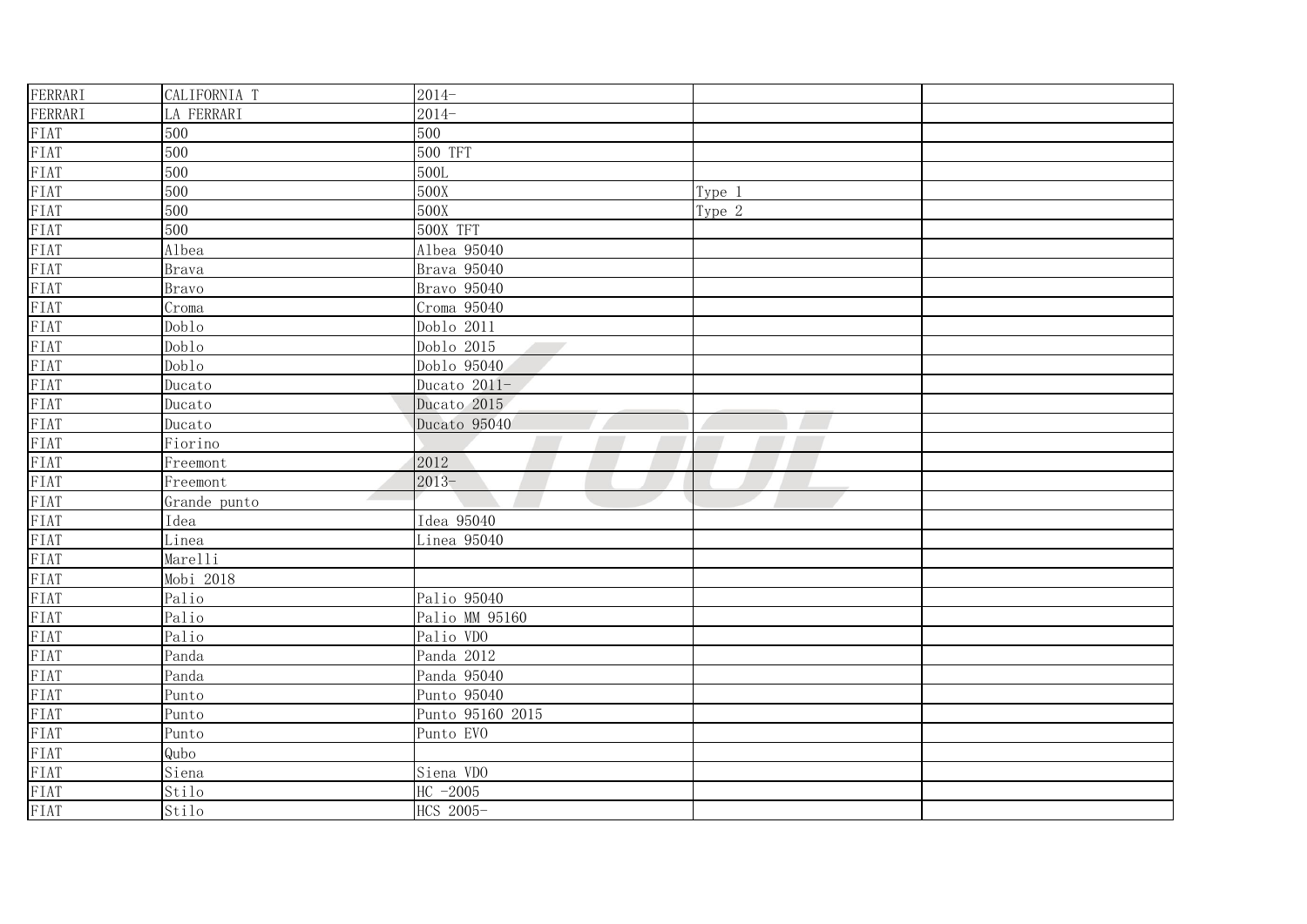| FERRARI                      | CALIFORNIA T      | $2014-$                                |        |  |
|------------------------------|-------------------|----------------------------------------|--------|--|
| FERRARI                      | LA FERRARI        | $2014-$                                |        |  |
|                              | 500               | 500                                    |        |  |
| FIAT<br>FIAT<br>FIAT<br>FIAT | 500               | 500 TFT                                |        |  |
|                              | 500               | 500L                                   |        |  |
| FIAT                         | 500               | 500X                                   | Type 1 |  |
| FIAT                         | 500               | 500X                                   | Type 2 |  |
| FIAT                         | 500               | 500X TFT                               |        |  |
|                              | Albea             | Albea 95040                            |        |  |
|                              | <b>Brava</b>      | Brava 95040                            |        |  |
| FIAT<br>FIAT<br>FIAT<br>FIAT | <b>Bravo</b>      | Bravo 95040                            |        |  |
| FIAT                         | $C_{\text{P}}$    | Croma 95040                            |        |  |
| FIAT                         | Dob <sub>10</sub> | Doblo 2011                             |        |  |
| FIAT                         | Dob <sub>10</sub> | Doblo 2015<br><b>Contract Contract</b> |        |  |
| FIAT                         | Dob <sub>10</sub> | Doblo 95040                            |        |  |
| FIAT                         | Ducato            | Ducato 2011-                           |        |  |
| FIAT                         | Ducato            | Ducato 2015                            |        |  |
| FIAT                         | Ducato            | Ducato 95040                           |        |  |
| FIAT                         | Fiorino           |                                        |        |  |
| FIAT                         | Freemont          | 2012                                   |        |  |
| FIAT                         | Freemont          | $2013 -$                               |        |  |
| FIAT                         | Grande punto      |                                        |        |  |
| FIAT                         | Idea              | Idea 95040                             |        |  |
| FIAT                         | Linea             | Linea 95040                            |        |  |
| FIAT                         | Marelli           |                                        |        |  |
| FIAT                         | Mobi 2018         |                                        |        |  |
| FIAT                         | Palio             | Palio 95040                            |        |  |
| FIAT                         | Palio             | Palio MM 95160                         |        |  |
| FIAT                         | Palio             | Palio VDO                              |        |  |
| FIAT                         | Panda             | Panda 2012                             |        |  |
| FIAT                         | Panda             | Panda 95040                            |        |  |
| FIAT                         | Punto             | Punto 95040                            |        |  |
| FIAT                         | Punto             | Punto 95160 2015                       |        |  |
| FIAT                         | Punto             | Punto EVO                              |        |  |
| FIAT                         | Qubo              |                                        |        |  |
| FIAT<br>FIAT<br>FIAT<br>FIAT | Siena             | Siena VDO                              |        |  |
|                              | Stilo             | HC $-2005$                             |        |  |
|                              | Stilo             | HCS 2005-                              |        |  |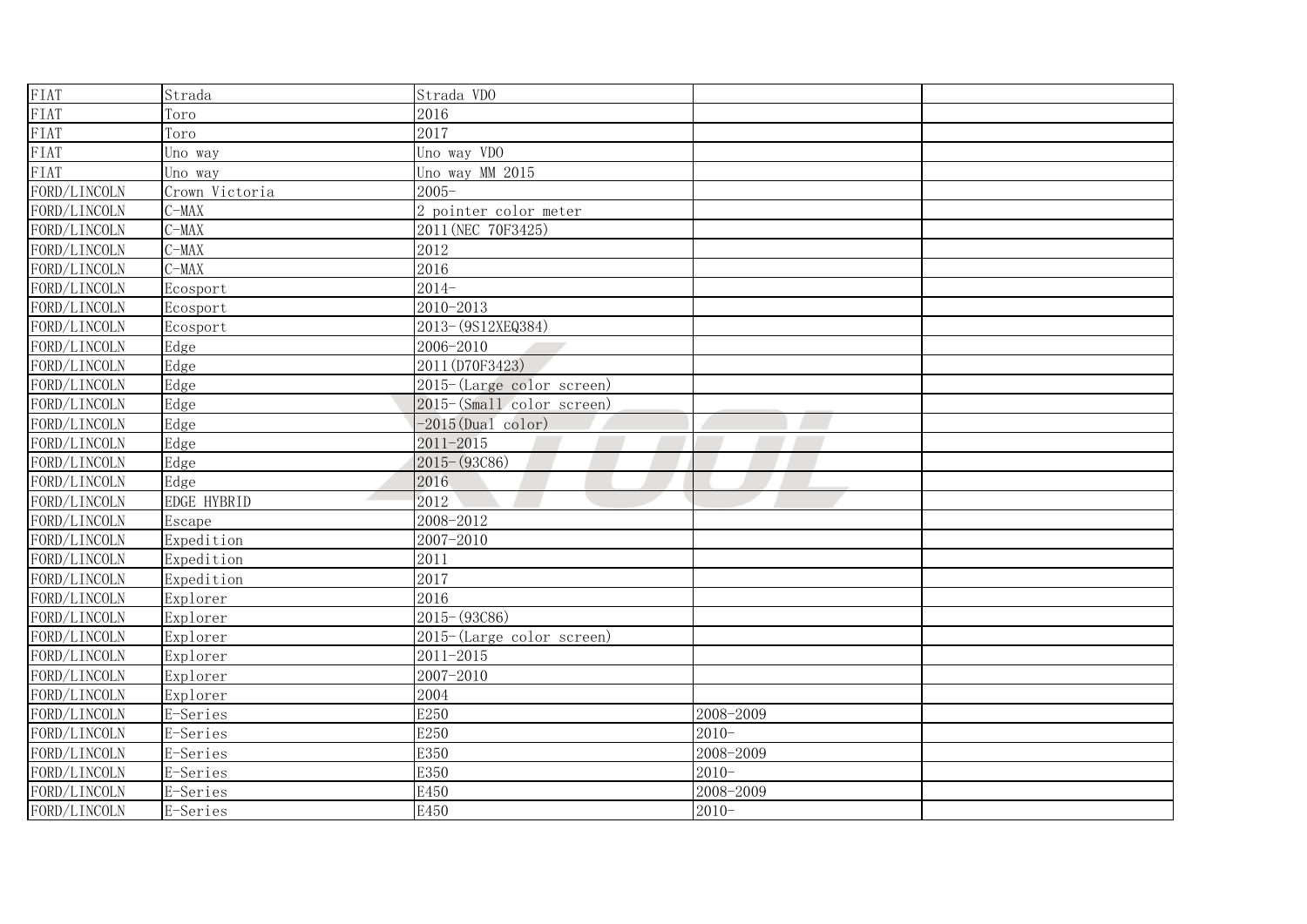| FIAT         | Strada         | Strada VDO                   |           |  |
|--------------|----------------|------------------------------|-----------|--|
| FIAT         | Toro           | 2016                         |           |  |
| FIAT         | Toro           | 2017                         |           |  |
| FIAT         | Uno way        | Uno way VDO                  |           |  |
| FIAT         | Uno way        | Uno way MM 2015              |           |  |
| FORD/LINCOLN | Crown Victoria | $2005 -$                     |           |  |
| FORD/LINCOLN | $C-MAX$        | 2 pointer color meter        |           |  |
| FORD/LINCOLN | $C-MAX$        | 2011 (NEC 70F3425)           |           |  |
| FORD/LINCOLN | $C-MAX$        | 2012                         |           |  |
| FORD/LINCOLN | $C-MAX$        | 2016                         |           |  |
| FORD/LINCOLN | Ecosport       | $2014-$                      |           |  |
| FORD/LINCOLN | Ecosport       | 2010-2013                    |           |  |
| FORD/LINCOLN | Ecosport       | 2013-(9S12XEQ384)            |           |  |
| FORD/LINCOLN | Edge           | 2006-2010                    |           |  |
| FORD/LINCOLN | Edge           | 2011 (D70F3423)              |           |  |
| FORD/LINCOLN | Edge           | $2015$ -(Large color screen) |           |  |
| FORD/LINCOLN | Edge           | 2015-(Small color screen)    |           |  |
| FORD/LINCOLN | Edge           | $-2015$ (Dual color)         |           |  |
| FORD/LINCOLN | Edge           | $2011 - 2015$                |           |  |
| FORD/LINCOLN | Edge           | $2015 - (93C86)$             |           |  |
| FORD/LINCOLN | Edge           | 2016                         |           |  |
| FORD/LINCOLN | EDGE HYBRID    | 2012                         |           |  |
| FORD/LINCOLN | Escape         | 2008-2012                    |           |  |
| FORD/LINCOLN | Expedition     | 2007-2010                    |           |  |
| FORD/LINCOLN | Expedition     | 2011                         |           |  |
| FORD/LINCOLN | Expedition     | 2017                         |           |  |
| FORD/LINCOLN | Explorer       | 2016                         |           |  |
| FORD/LINCOLN | Explorer       | $2015 - (93C86)$             |           |  |
| FORD/LINCOLN | Explorer       | 2015-(Large color screen)    |           |  |
| FORD/LINCOLN | Explorer       | 2011-2015                    |           |  |
| FORD/LINCOLN | Explorer       | 2007-2010                    |           |  |
| FORD/LINCOLN | Explorer       | 2004                         |           |  |
| FORD/LINCOLN | E-Series       | E250                         | 2008-2009 |  |
| FORD/LINCOLN | E-Series       | E250                         | $2010 -$  |  |
| FORD/LINCOLN | E-Series       | E350                         | 2008-2009 |  |
| FORD/LINCOLN | E-Series       | E350                         | $2010 -$  |  |
| FORD/LINCOLN | E-Series       | E450                         | 2008-2009 |  |
| FORD/LINCOLN | E-Series       | E450                         | $2010 -$  |  |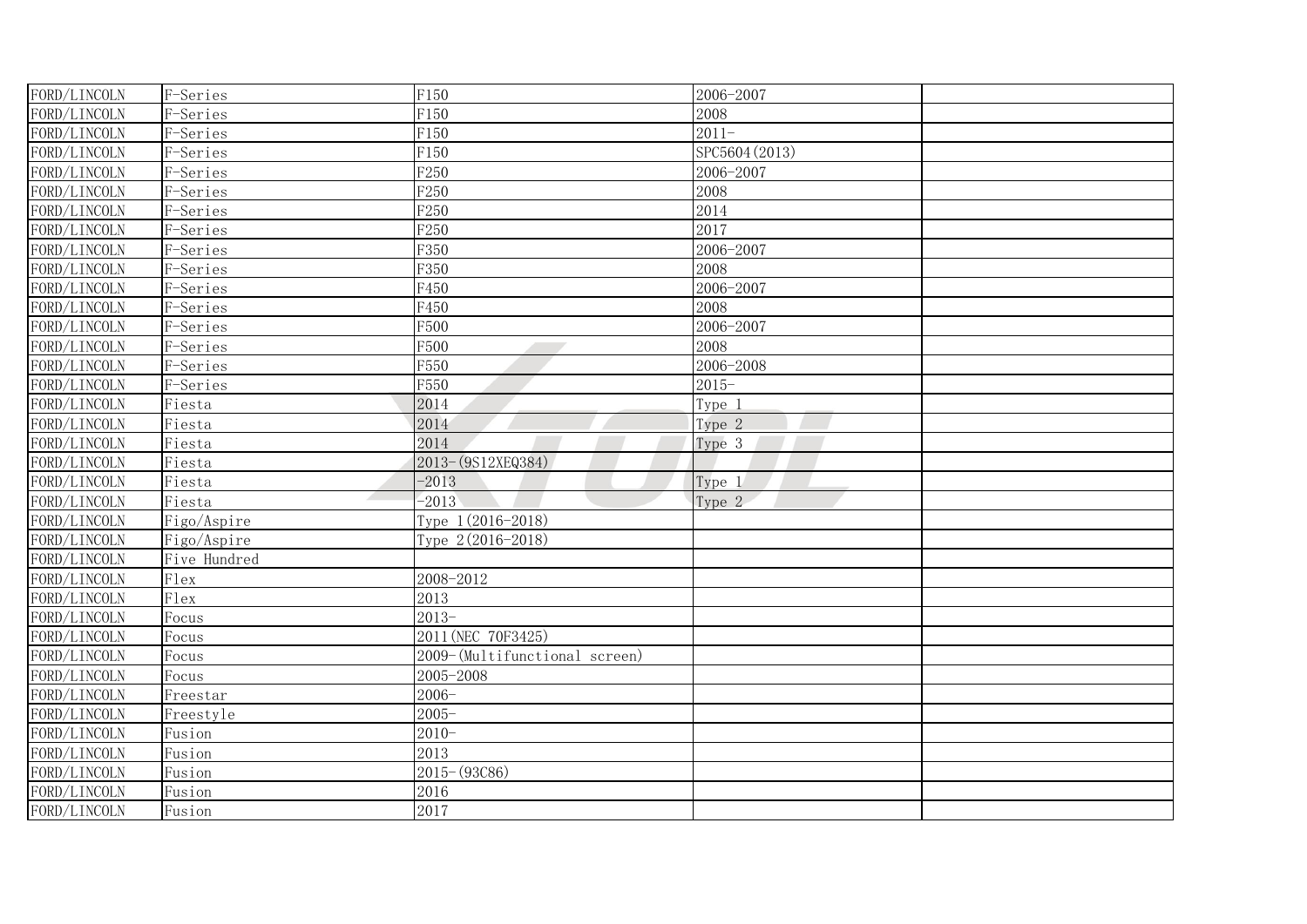| FORD/LINCOLN | F-Series     | F150                          | 2006-2007      |  |
|--------------|--------------|-------------------------------|----------------|--|
| FORD/LINCOLN | F-Series     | F150                          | 2008           |  |
| FORD/LINCOLN | F-Series     | F150                          | $2011 -$       |  |
| FORD/LINCOLN | F-Series     | F150                          | SPC5604 (2013) |  |
| FORD/LINCOLN | F-Series     | F <sub>250</sub>              | 2006-2007      |  |
| FORD/LINCOLN | F-Series     | F <sub>250</sub>              | 2008           |  |
| FORD/LINCOLN | F-Series     | F <sub>250</sub>              | 2014           |  |
| FORD/LINCOLN | F-Series     | F <sub>250</sub>              | 2017           |  |
| FORD/LINCOLN | F-Series     | F350                          | 2006-2007      |  |
| FORD/LINCOLN | F-Series     | F350                          | 2008           |  |
| FORD/LINCOLN | F-Series     | F450                          | 2006-2007      |  |
| FORD/LINCOLN | F-Series     | F450                          | 2008           |  |
| FORD/LINCOLN | F-Series     | F500                          | 2006-2007      |  |
| FORD/LINCOLN | F-Series     | F500                          | 2008           |  |
| FORD/LINCOLN | F-Series     | F550                          | 2006-2008      |  |
| FORD/LINCOLN | F-Series     | F550                          | $2015 -$       |  |
| FORD/LINCOLN | Fiesta       | 2014                          | Type 1         |  |
| FORD/LINCOLN | Fiesta       | 2014                          | Type 2         |  |
| FORD/LINCOLN | Fiesta       | 2014                          | Type 3         |  |
| FORD/LINCOLN | Fiesta       | 2013-(9S12XEQ384)             |                |  |
| FORD/LINCOLN | Fiesta       | $-2013$                       | Type 1         |  |
| FORD/LINCOLN | Fiesta       | $-2013$                       | Type 2         |  |
| FORD/LINCOLN | Figo/Aspire  | Type 1(2016-2018)             |                |  |
| FORD/LINCOLN | Figo/Aspire  | Type 2(2016-2018)             |                |  |
| FORD/LINCOLN | Five Hundred |                               |                |  |
| FORD/LINCOLN | Flex         | 2008-2012                     |                |  |
| FORD/LINCOLN | Flex         | 2013                          |                |  |
| FORD/LINCOLN | Focus        | $2013-$                       |                |  |
| FORD/LINCOLN | Focus        | 2011 (NEC 70F3425)            |                |  |
| FORD/LINCOLN | Focus        | 2009-(Multifunctional screen) |                |  |
| FORD/LINCOLN | Focus        | 2005-2008                     |                |  |
| FORD/LINCOLN | Freestar     | $2006 -$                      |                |  |
| FORD/LINCOLN | Freestyle    | $2005 -$                      |                |  |
| FORD/LINCOLN | Fusion       | $2010 -$                      |                |  |
| FORD/LINCOLN | Fusion       | 2013                          |                |  |
| FORD/LINCOLN | Fusion       | $2015 - (93C86)$              |                |  |
| FORD/LINCOLN | Fusion       | 2016                          |                |  |
| FORD/LINCOLN | Fusion       | 2017                          |                |  |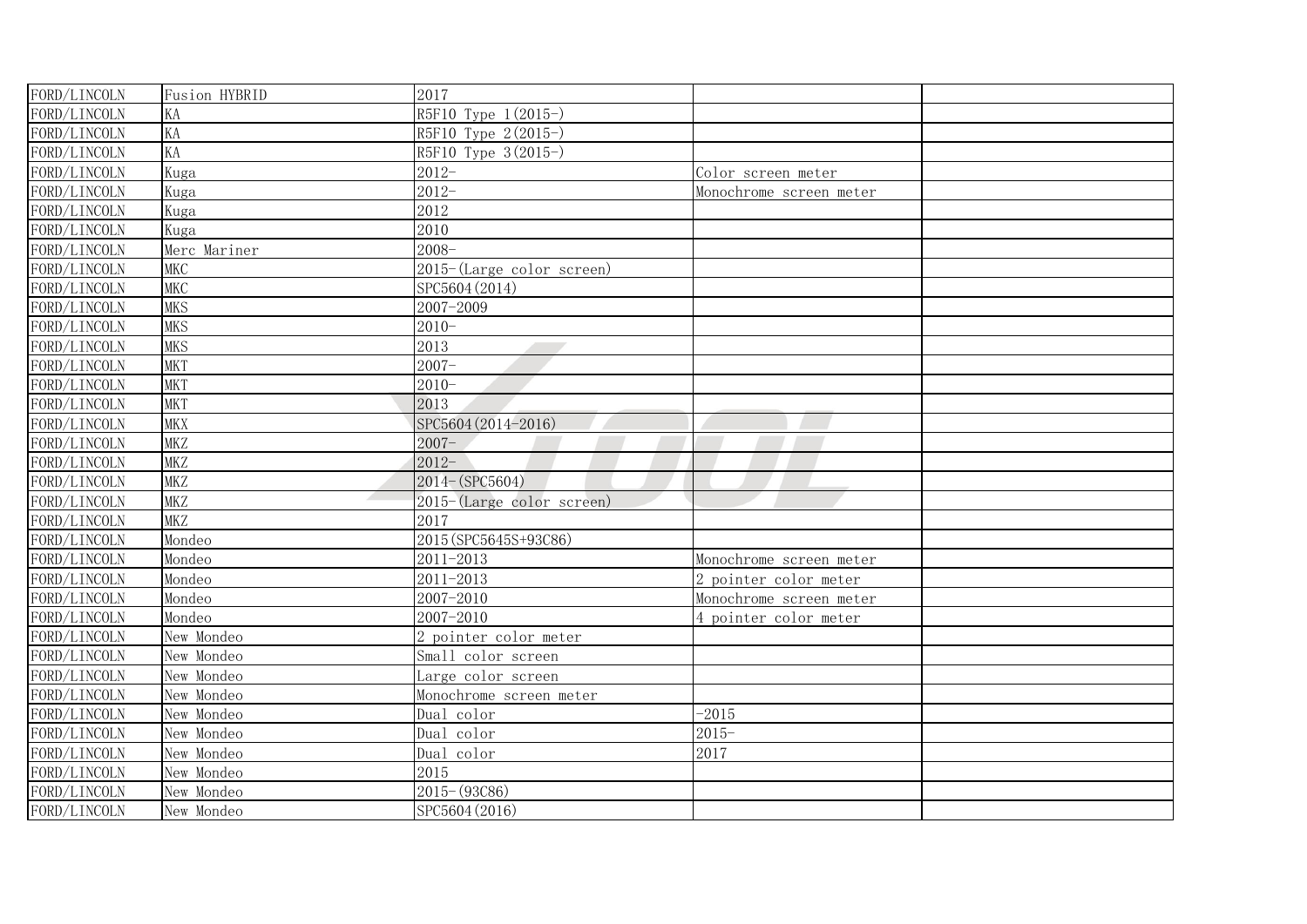| FORD/LINCOLN | Fusion HYBRID | 2017                         |                         |  |
|--------------|---------------|------------------------------|-------------------------|--|
| FORD/LINCOLN | KA            | R5F10 Type 1(2015-)          |                         |  |
| FORD/LINCOLN | KA            | R5F10 Type 2(2015-)          |                         |  |
| FORD/LINCOLN | KA            | R5F10 Type 3(2015-)          |                         |  |
| FORD/LINCOLN | Kuga          | $2012 -$                     | Color screen meter      |  |
| FORD/LINCOLN | Kuga          | $2012 -$                     | Monochrome screen meter |  |
| FORD/LINCOLN | Kuga          | 2012                         |                         |  |
| FORD/LINCOLN | Kuga          | 2010                         |                         |  |
| FORD/LINCOLN | Merc Mariner  | $2008 -$                     |                         |  |
| FORD/LINCOLN | <b>MKC</b>    | $2015$ -(Large color screen) |                         |  |
| FORD/LINCOLN | <b>MKC</b>    | SPC5604 (2014)               |                         |  |
| FORD/LINCOLN | <b>MKS</b>    | 2007-2009                    |                         |  |
| FORD/LINCOLN | <b>MKS</b>    | $2010 -$                     |                         |  |
| FORD/LINCOLN | <b>MKS</b>    | 2013                         |                         |  |
| FORD/LINCOLN | <b>MKT</b>    | $2007 -$                     |                         |  |
| FORD/LINCOLN | <b>MKT</b>    | $2010 -$                     |                         |  |
| FORD/LINCOLN | <b>MKT</b>    | 2013                         |                         |  |
| FORD/LINCOLN | <b>MKX</b>    | SPC5604 (2014-2016)          |                         |  |
| FORD/LINCOLN | <b>MKZ</b>    | $2007 -$                     |                         |  |
| FORD/LINCOLN | <b>MKZ</b>    | $2012 -$                     |                         |  |
| FORD/LINCOLN | <b>MKZ</b>    | 2014-(SPC5604)               |                         |  |
| FORD/LINCOLN | <b>MKZ</b>    | 2015-(Large color screen)    |                         |  |
| FORD/LINCOLN | <b>MKZ</b>    | 2017                         |                         |  |
| FORD/LINCOLN | Mondeo        | 2015 (SPC5645S+93C86)        |                         |  |
| FORD/LINCOLN | Mondeo        | 2011-2013                    | Monochrome screen meter |  |
| FORD/LINCOLN | Mondeo        | 2011-2013                    | 2 pointer color meter   |  |
| FORD/LINCOLN | Mondeo        | 2007-2010                    | Monochrome screen meter |  |
| FORD/LINCOLN | Mondeo        | 2007-2010                    | 4 pointer color meter   |  |
| FORD/LINCOLN | New Mondeo    | 2 pointer color meter        |                         |  |
| FORD/LINCOLN | New Mondeo    | Small color screen           |                         |  |
| FORD/LINCOLN | New Mondeo    | Large color screen           |                         |  |
| FORD/LINCOLN | New Mondeo    | Monochrome screen meter      |                         |  |
| FORD/LINCOLN | New Mondeo    | Dual color                   | $-2015$                 |  |
| FORD/LINCOLN | New Mondeo    | Dual color                   | $2015 -$                |  |
| FORD/LINCOLN | New Mondeo    | Dual color                   | 2017                    |  |
| FORD/LINCOLN | New Mondeo    | 2015                         |                         |  |
| FORD/LINCOLN | New Mondeo    | $2015 - (93C86)$             |                         |  |
| FORD/LINCOLN | New Mondeo    | SPC5604 (2016)               |                         |  |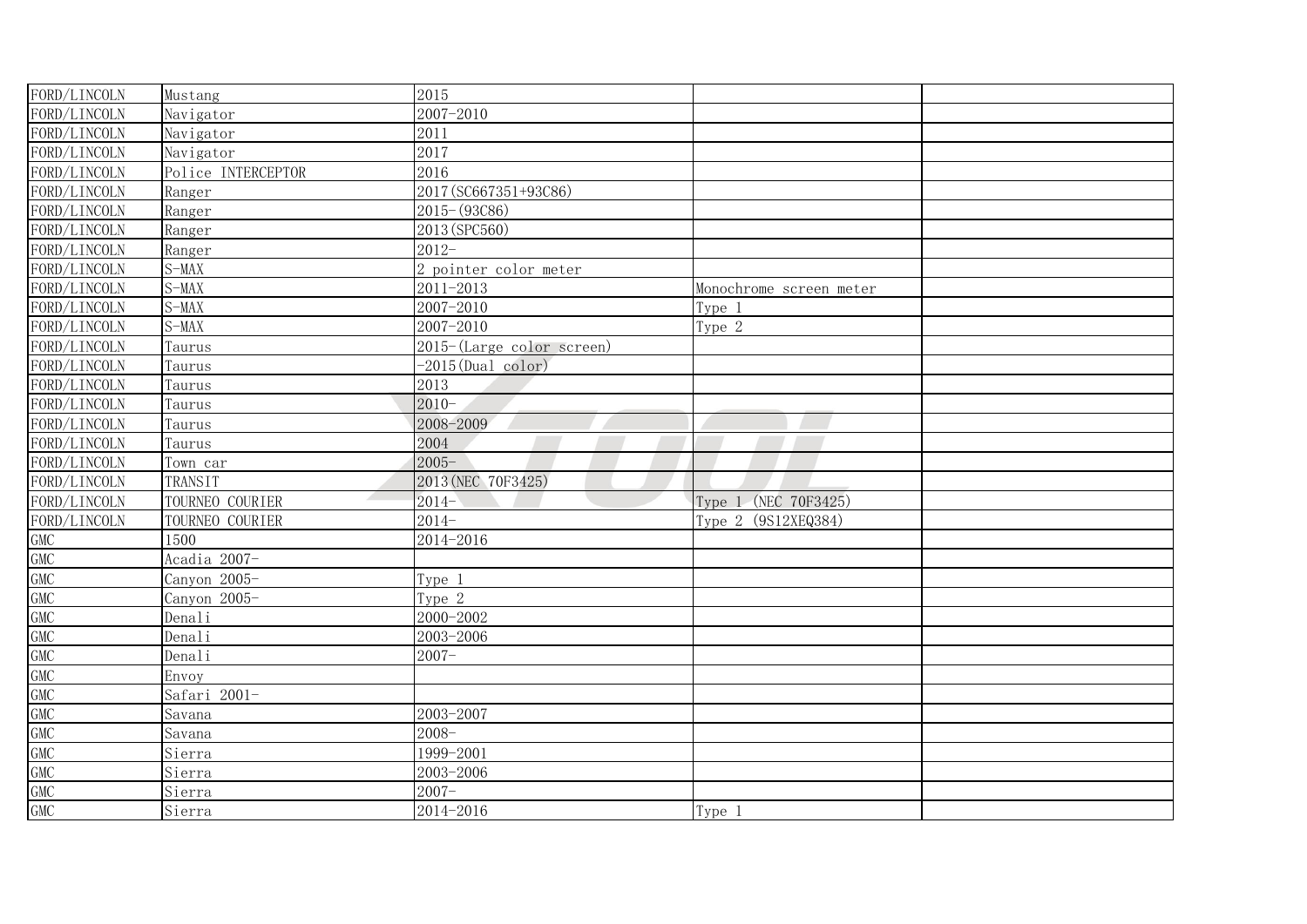| FORD/LINCOLN | Mustang            | 2015                      |                         |  |
|--------------|--------------------|---------------------------|-------------------------|--|
| FORD/LINCOLN | Navigator          | 2007-2010                 |                         |  |
| FORD/LINCOLN | Navigator          | 2011                      |                         |  |
| FORD/LINCOLN | Navigator          | 2017                      |                         |  |
| FORD/LINCOLN | Police INTERCEPTOR | 2016                      |                         |  |
| FORD/LINCOLN | Ranger             | 2017 (SC667351+93C86)     |                         |  |
| FORD/LINCOLN | Ranger             | $2015 - (93C86)$          |                         |  |
| FORD/LINCOLN | Ranger             | 2013 (SPC560)             |                         |  |
| FORD/LINCOLN | Ranger             | $2012 -$                  |                         |  |
| FORD/LINCOLN | $S-MAX$            | 2 pointer color meter     |                         |  |
| FORD/LINCOLN | $S-MAX$            | 2011-2013                 | Monochrome screen meter |  |
| FORD/LINCOLN | $S-MAX$            | 2007-2010                 | Type 1                  |  |
| FORD/LINCOLN | $S-MAX$            | 2007-2010                 | Type 2                  |  |
| FORD/LINCOLN | Taurus             | 2015-(Large color screen) |                         |  |
| FORD/LINCOLN | Taurus             | $-2015$ (Dual color)      |                         |  |
| FORD/LINCOLN | Taurus             | 2013                      |                         |  |
| FORD/LINCOLN | Taurus             | $2010 -$                  |                         |  |
| FORD/LINCOLN | Taurus             | 2008-2009                 |                         |  |
| FORD/LINCOLN | Taurus             | 2004                      |                         |  |
| FORD/LINCOLN | Town car           | $2005 -$                  |                         |  |
| FORD/LINCOLN | TRANSIT            | 2013 (NEC 70F3425)        |                         |  |
| FORD/LINCOLN | TOURNEO COURIER    | $2014-$                   | Type 1 (NEC 70F3425)    |  |
| FORD/LINCOLN | TOURNEO COURIER    | $2014-$                   | Type 2 (9S12XEQ384)     |  |
| GMC          | 1500               | 2014-2016                 |                         |  |
| <b>GMC</b>   | Acadia 2007-       |                           |                         |  |
| <b>GMC</b>   | Canyon 2005-       | Type 1                    |                         |  |
| <b>GMC</b>   | Canyon 2005-       | Type 2                    |                         |  |
| <b>GMC</b>   | Denali             | 2000-2002                 |                         |  |
| <b>GMC</b>   | Denali             | 2003-2006                 |                         |  |
| <b>GMC</b>   | Denali             | $2007 -$                  |                         |  |
| <b>GMC</b>   | Envoy              |                           |                         |  |
| <b>GMC</b>   | Safari 2001-       |                           |                         |  |
| <b>GMC</b>   | Savana             | 2003-2007                 |                         |  |
| <b>GMC</b>   | Savana             | $2008 -$                  |                         |  |
| <b>GMC</b>   | Sierra             | 1999-2001                 |                         |  |
| <b>GMC</b>   | Sierra             | 2003-2006                 |                         |  |
| <b>GMC</b>   | Sierra             | $2007 -$                  |                         |  |
| <b>GMC</b>   | Sierra             | 2014-2016                 | Type 1                  |  |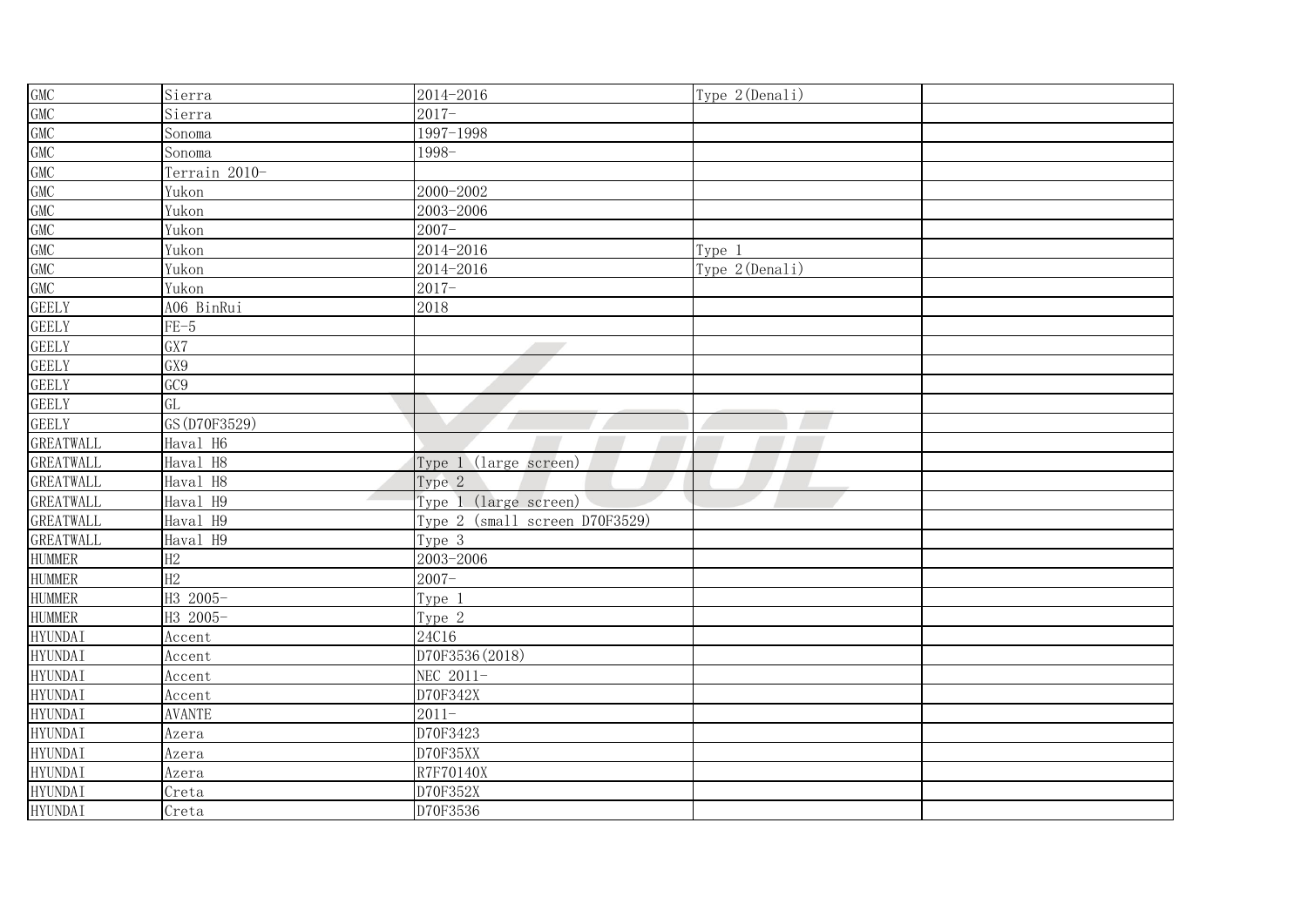| GMC<br>GMC<br>GMC<br>GMC<br>GMC<br>GMC<br>GMC<br>GMC | Sierra                    | 2014-2016                      | Type 2(Denali) |  |
|------------------------------------------------------|---------------------------|--------------------------------|----------------|--|
|                                                      | Sierra                    | $2017 -$                       |                |  |
|                                                      | Sonoma                    | 1997-1998                      |                |  |
|                                                      | Sonoma                    | 1998-                          |                |  |
|                                                      | Terrain 2010-             |                                |                |  |
|                                                      | Yukon                     | 2000-2002                      |                |  |
|                                                      | Yukon                     | 2003-2006                      |                |  |
|                                                      | Yukon                     | $2007 -$                       |                |  |
| GMC<br>GMC                                           | Yukon                     | 2014-2016                      | Type 1         |  |
|                                                      | Yukon                     | 2014-2016                      | Type 2(Denali) |  |
| GMC                                                  | Yukon                     | $2017 -$                       |                |  |
| <b>GEELY</b>                                         | A06 <u>BinRui</u>         | 2018                           |                |  |
| <b>GEELY</b>                                         | $FE-5$                    |                                |                |  |
| <b>GEELY</b>                                         | $\overline{GX7}$          |                                |                |  |
| <b>GEELY</b>                                         | GX9                       |                                |                |  |
| <b>GEELY</b>                                         | GC <sub>9</sub>           |                                |                |  |
| <b>GEELY</b>                                         | GL                        |                                |                |  |
| <b>GEELY</b>                                         | GS (D70F3529)             |                                |                |  |
| <b>GREATWALL</b>                                     | Haval H6                  |                                |                |  |
| GREATWALL                                            | Haval H8                  | Type 1 (large screen)          |                |  |
| GREATWALL                                            | Haval H8                  | Type 2                         |                |  |
| GREATWALL                                            | $\mathcal{L}$<br>Haval H9 | Type 1 (large screen)          |                |  |
| <b>GREATWALL</b>                                     | Haval H9                  | Type 2 (small screen D70F3529) |                |  |
| <b>GREATWALL</b>                                     | Haval H9                  | Type 3                         |                |  |
| <b>HUMMER</b>                                        | H2                        | $2003 - 2006$                  |                |  |
| <b>HUMMER</b>                                        | H2                        | $2007 -$                       |                |  |
| <b>HUMMER</b>                                        | H3 2005-                  | Type 1                         |                |  |
| <b>HUMMER</b>                                        | H3 2005-                  | Type 2                         |                |  |
| <b>HYUNDAI</b>                                       | Accent                    | 24C16                          |                |  |
| <b>HYUNDAI</b>                                       | Accent                    | D70F3536 (2018)                |                |  |
| <b>HYUNDAI</b>                                       | Accent                    | NEC 2011-                      |                |  |
| <b>HYUNDAI</b>                                       | Accent                    | D70F342X                       |                |  |
| <b>HYUNDAI</b>                                       | <b>AVANTE</b>             | $2011 -$                       |                |  |
| <b>HYUNDAI</b>                                       | Azera                     | D70F3423                       |                |  |
| <b>HYUNDAI</b>                                       | Azera                     | D70F35XX                       |                |  |
| <b>HYUNDAI</b>                                       | Azera                     | R7F70140X                      |                |  |
| <b>HYUNDAI</b>                                       | Creta                     | D70F352X                       |                |  |
| <b>HYUNDAI</b>                                       | Creta                     | D70F3536                       |                |  |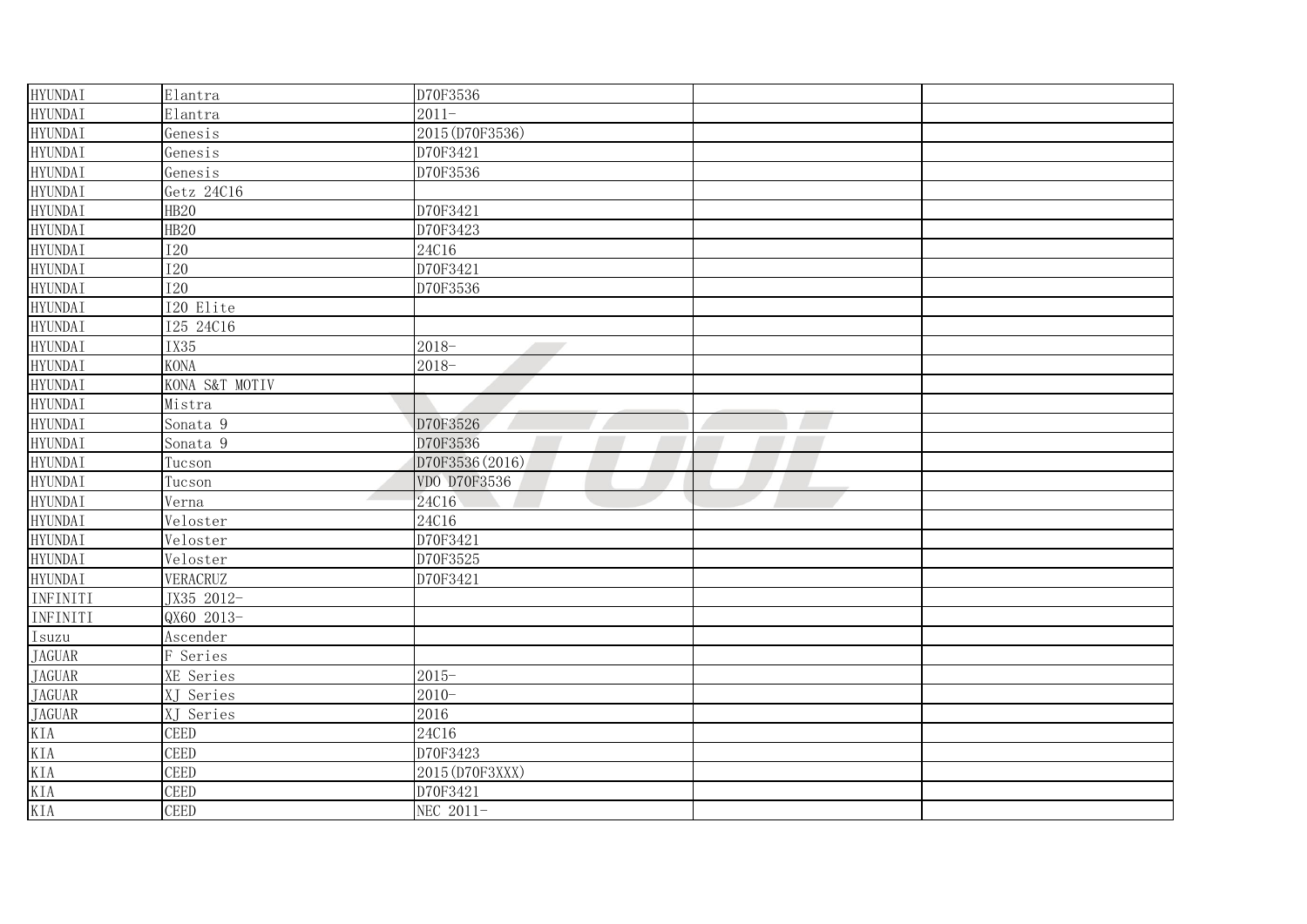| <b>HYUNDAI</b>                                             | Elantra          | D70F3536                          |  |
|------------------------------------------------------------|------------------|-----------------------------------|--|
| <b>HYUNDAI</b>                                             | Elantra          | $2011 -$                          |  |
| <b>HYUNDAI</b>                                             | Genesis          | 2015 (D70F3536)                   |  |
| <b>HYUNDAI</b>                                             | Genesis          | D70F3421                          |  |
| <b>HYUNDAI</b>                                             | Genesis          | D70F3536                          |  |
| <b>HYUNDAI</b>                                             | Getz 24C16       |                                   |  |
| <b>HYUNDAI</b>                                             | HB <sub>20</sub> | D70F3421                          |  |
| <b>HYUNDAI</b>                                             | HB <sub>20</sub> | D70F3423                          |  |
| <b>HYUNDAI</b>                                             | <b>I20</b>       | 24C16                             |  |
| <b>HYUNDAI</b>                                             | <b>I20</b>       | D70F3421                          |  |
| <b>HYUNDAI</b>                                             | <b>I20</b>       | D70F3536                          |  |
| <b>HYUNDAI</b>                                             | I20 Elite        |                                   |  |
| <b>HYUNDAI</b>                                             | I25 24C16        |                                   |  |
| <b>HYUNDAI</b>                                             | IX35             | $2018 -$<br><b>Contract State</b> |  |
| <b>HYUNDAI</b>                                             | <b>KONA</b>      | $2018-$                           |  |
| <b>HYUNDAI</b>                                             | KONA S&T MOTIV   |                                   |  |
| <b>HYUNDAI</b>                                             | Mistra           |                                   |  |
| <b>HYUNDAI</b>                                             | Sonata 9         | D70F3526                          |  |
| <b>HYUNDAI</b>                                             | Sonata 9         | D70F3536                          |  |
| <b>HYUNDAI</b>                                             | Tucson           | D70F3536 (2016)                   |  |
| <b>HYUNDAI</b>                                             | Tucson           | VDO D70F3536                      |  |
| <b>HYUNDAI</b>                                             | Verna            | 24C16                             |  |
| <b>HYUNDAI</b>                                             | Veloster         | 24C16                             |  |
| <b>HYUNDAI</b>                                             | Veloster         | D70F3421                          |  |
| <b>HYUNDAI</b>                                             | Veloster         | D70F3525                          |  |
| <b>HYUNDAI</b>                                             | VERACRUZ         | D70F3421                          |  |
| INFINITI                                                   | JX35 2012-       |                                   |  |
| INFINITI                                                   | QX60 2013-       |                                   |  |
| Isuzu                                                      | Ascender         |                                   |  |
| <b>JAGUAR</b>                                              | F Series         |                                   |  |
| <b>JAGUAR</b>                                              | XE Series        | $2015 -$                          |  |
|                                                            | XJ Series        | $2010 -$                          |  |
| JAGUAR<br>JAGUAR<br>KIA<br>KIA<br>KIA<br>KIA<br>KIA<br>KIA | XJ Series        | 2016                              |  |
|                                                            | CEED             | 24C16                             |  |
|                                                            | CEED             | D70F3423                          |  |
|                                                            | CEED             | 2015 (D70F3XXX)                   |  |
|                                                            | CEED             | D70F3421                          |  |
|                                                            | CEED             | NEC 2011-                         |  |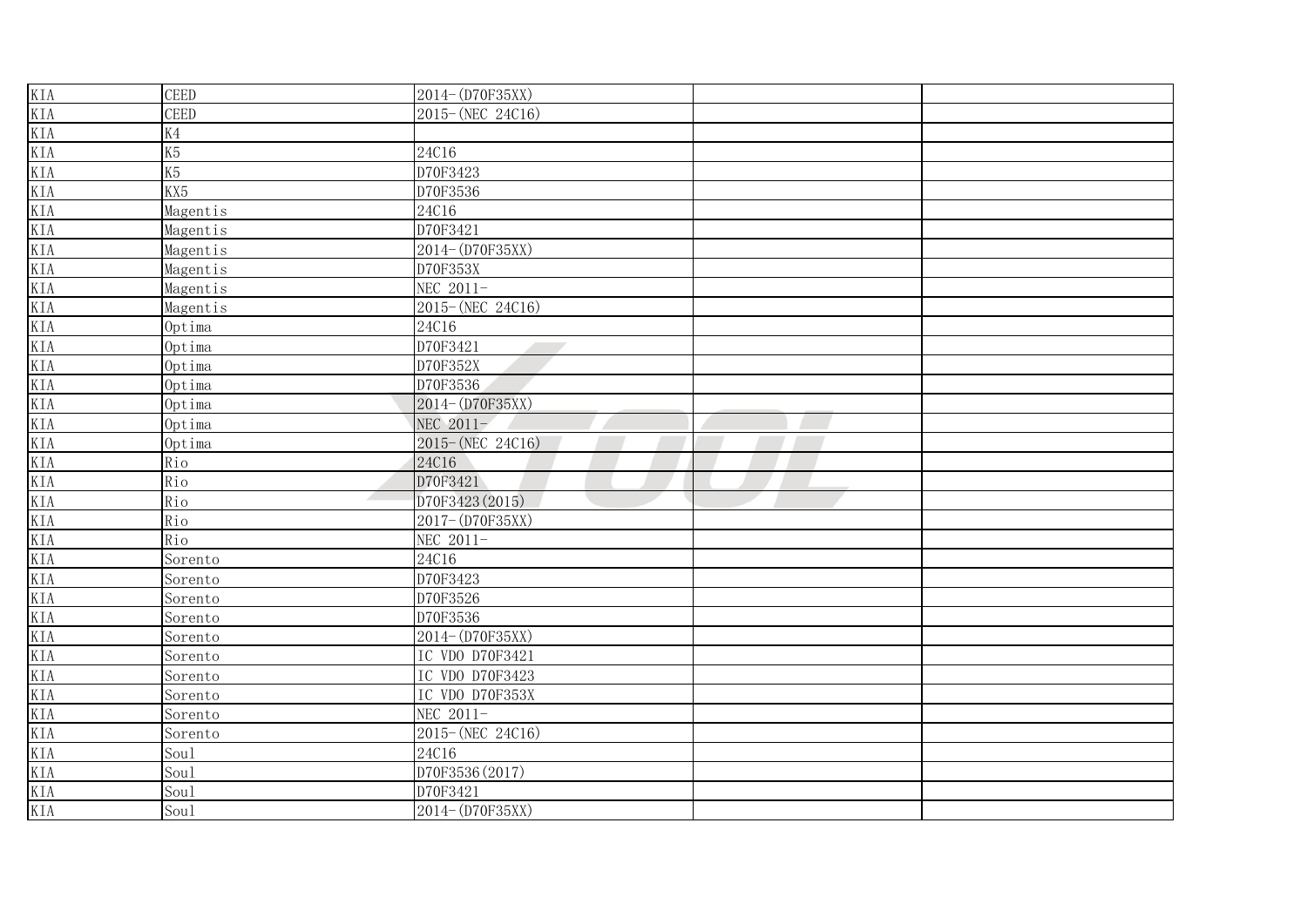| KIA<br>KIA<br>KIA<br>KIA<br>KIA<br>KIA<br>KIA<br>KIA<br>KIA<br>KIA | <b>CEED</b>    | 2014-(D70F35XX)  |  |
|--------------------------------------------------------------------|----------------|------------------|--|
|                                                                    | CEED           | 2015-(NEC 24C16) |  |
|                                                                    | K4             |                  |  |
|                                                                    | K <sub>5</sub> | 24C16            |  |
|                                                                    | K <sub>5</sub> | D70F3423         |  |
|                                                                    | KX5            | D70F3536         |  |
|                                                                    | Magentis       | 24C16            |  |
|                                                                    | Magentis       | D70F3421         |  |
|                                                                    | Magentis       | 2014-(D70F35XX)  |  |
|                                                                    | Magentis       | D70F353X         |  |
| KIA                                                                | Magentis       | NEC 2011-        |  |
| KIA                                                                | Magentis       | 2015-(NEC 24C16) |  |
| KIA                                                                | Optima         | 24C16            |  |
| KIA                                                                | Optima         | D70F3421         |  |
| KIA                                                                | Optima         | D70F352X         |  |
| KIA                                                                | Optima         | D70F3536         |  |
| KIA                                                                | Optima         | 2014-(D70F35XX)  |  |
| KIA                                                                | Optima         | NEC 2011-        |  |
| KIA                                                                | Optima         | 2015-(NEC 24C16) |  |
| KIA                                                                | Rio            | 24C16            |  |
|                                                                    | Rio            | D70F3421         |  |
| KIA<br>KIA                                                         | Rio            | D70F3423 (2015)  |  |
| KIA                                                                | Rio            | 2017-(D70F35XX)  |  |
|                                                                    | Rio            | NEC 2011-        |  |
|                                                                    | Sorento        | 24C16            |  |
|                                                                    | Sorento        | D70F3423         |  |
|                                                                    | Sorento        | D70F3526         |  |
|                                                                    | Sorento        | D70F3536         |  |
|                                                                    | Sorento        | 2014-(D70F35XX)  |  |
|                                                                    | Sorento        | IC VDO D70F3421  |  |
|                                                                    | Sorento        | IC VDO D70F3423  |  |
|                                                                    | Sorento        | IC VDO D70F353X  |  |
|                                                                    | Sorento        | NEC 2011-        |  |
|                                                                    | Sorento        | 2015-(NEC 24C16) |  |
|                                                                    | Sou1           | 24C16            |  |
|                                                                    | Sou1           | D70F3536 (2017)  |  |
|                                                                    | Sou1           | D70F3421         |  |
|                                                                    | Sou1           | 2014-(D70F35XX)  |  |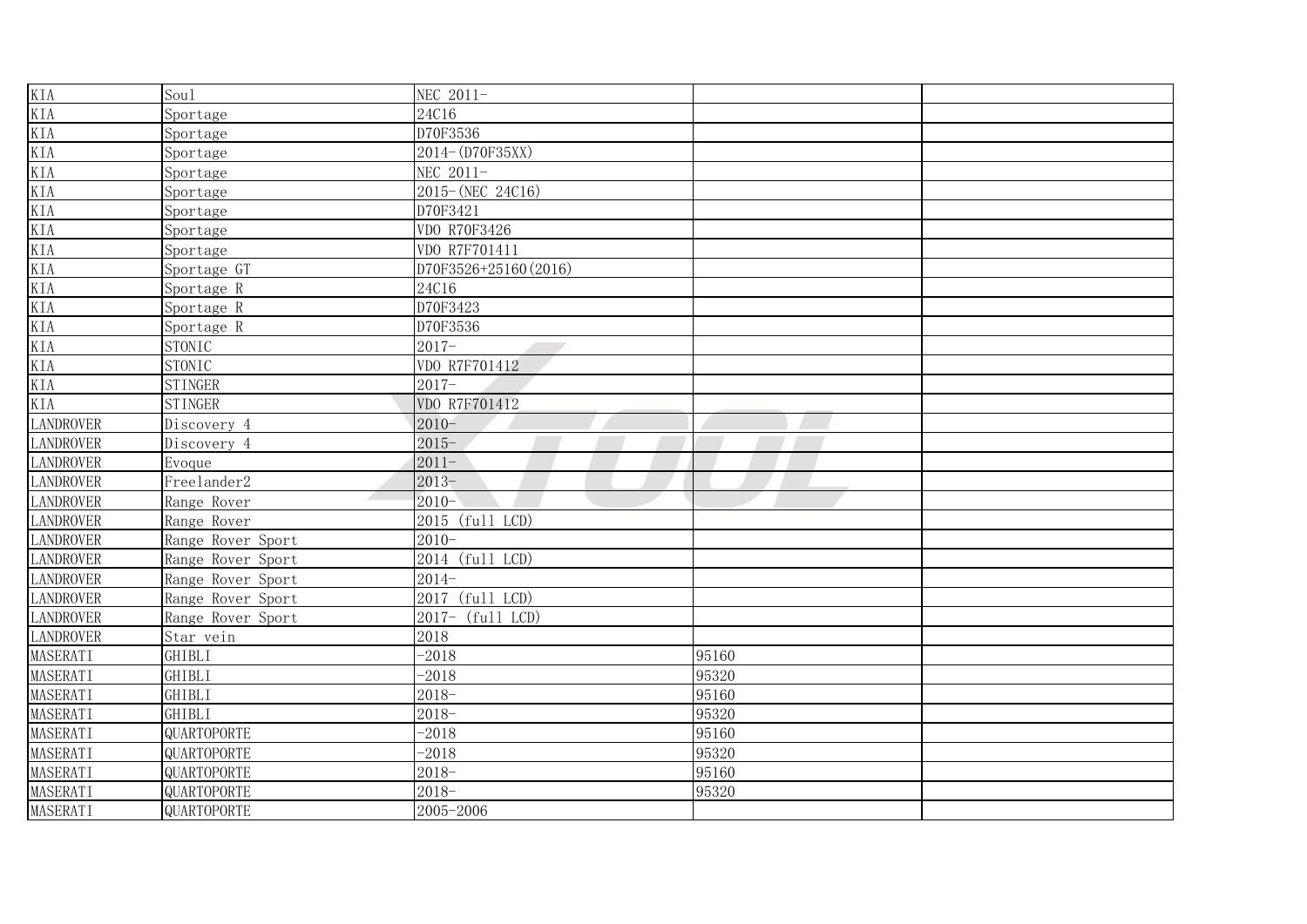| KIA              | Sou1              | NEC 2011-             |       |  |
|------------------|-------------------|-----------------------|-------|--|
| KIA              | Sportage          | 24C16                 |       |  |
| KIA              | Sportage          | D70F3536              |       |  |
| KIA              | Sportage          | $2014 - (D70F35XX)$   |       |  |
| KIA              | Sportage          | NEC 2011-             |       |  |
| KIA              | Sportage          | 2015-(NEC 24C16)      |       |  |
| KIA              | Sportage          | D70F3421              |       |  |
| KIA              | Sportage          | VDO R70F3426          |       |  |
| KIA              | Sportage          | VDO R7F701411         |       |  |
| KIA              | Sportage GT       | D70F3526+25160 (2016) |       |  |
| <b>KIA</b>       | Sportage R        | 24C16                 |       |  |
| KIA              | Sportage R        | D70F3423              |       |  |
| KIA              | Sportage R        | D70F3536              |       |  |
| KIA              | <b>STONIC</b>     | $2017 -$              |       |  |
| KIA              | <b>STONIC</b>     | VDO R7F701412         |       |  |
| KIA              | <b>STINGER</b>    | $2017 -$              |       |  |
| KIA              | <b>STINGER</b>    | VDO R7F701412         |       |  |
| <b>LANDROVER</b> | Discovery 4       | $2010 -$              |       |  |
| <b>LANDROVER</b> | Discovery 4       | $2015 -$              |       |  |
| <b>LANDROVER</b> | Evoque            | $2011 -$              |       |  |
| <b>LANDROVER</b> | Freelander2       | $2013 -$              |       |  |
| <b>LANDROVER</b> | Range Rover       | $2010 -$              |       |  |
| <b>LANDROVER</b> | Range Rover       | 2015 (full LCD)       |       |  |
| <b>LANDROVER</b> | Range Rover Sport | $2010 -$              |       |  |
| <b>LANDROVER</b> | Range Rover Sport | 2014 (full LCD)       |       |  |
| <b>LANDROVER</b> | Range Rover Sport | $2014-$               |       |  |
| <b>LANDROVER</b> | Range Rover Sport | 2017 (full LCD)       |       |  |
| <b>LANDROVER</b> | Range Rover Sport | 2017- (full LCD)      |       |  |
| <b>LANDROVER</b> | Star vein         | 2018                  |       |  |
| MASERATI         | GHIBLI            | $-2018$               | 95160 |  |
| MASERATI         | <b>GHIBLI</b>     | $-2018$               | 95320 |  |
| MASERATI         | GHIBLI            | $2018 -$              | 95160 |  |
| MASERATI         | GHIBLI            | $2018 -$              | 95320 |  |
| MASERATI         | QUARTOPORTE       | $-2018$               | 95160 |  |
| MASERATI         | QUARTOPORTE       | $-2018$               | 95320 |  |
| MASERATI         | QUARTOPORTE       | $2018 -$              | 95160 |  |
| MASERATI         | QUARTOPORTE       | $2018 -$              | 95320 |  |
| MASERATI         | QUARTOPORTE       | 2005-2006             |       |  |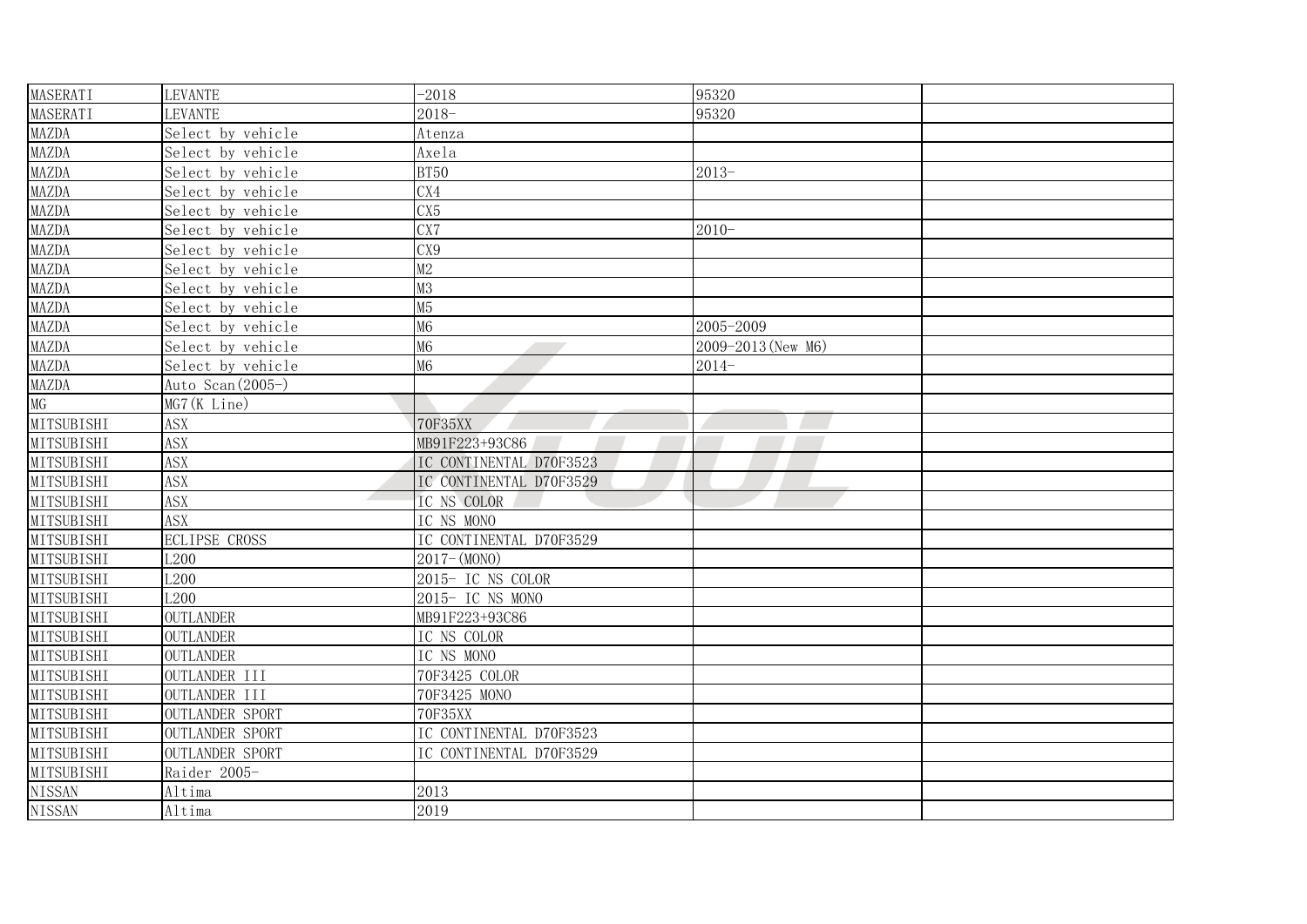| <b>MASERATI</b>   | <b>LEVANTE</b>         | $-2018$                 | 95320              |  |
|-------------------|------------------------|-------------------------|--------------------|--|
| MASERATI          | <b>LEVANTE</b>         | $2018 -$                | 95320              |  |
| <b>MAZDA</b>      | Select by vehicle      | Atenza                  |                    |  |
| <b>MAZDA</b>      | Select by vehicle      | Axela                   |                    |  |
| <b>MAZDA</b>      | Select by vehicle      | <b>BT50</b>             | $2013-$            |  |
| MAZDA             | Select by vehicle      | CX4                     |                    |  |
| <b>MAZDA</b>      | Select by vehicle      | CX <sub>5</sub>         |                    |  |
| <b>MAZDA</b>      | Select by vehicle      | $\overline{\text{CX7}}$ | $2010 -$           |  |
| MAZDA             | Select by vehicle      | CX9                     |                    |  |
| MAZDA             | Select by vehicle      | M2                      |                    |  |
| MAZDA             | Select by vehicle      | M3                      |                    |  |
| <b>MAZDA</b>      | Select by vehicle      | M5                      |                    |  |
| <b>MAZDA</b>      | Select by vehicle      | M <sub>6</sub>          | 2005-2009          |  |
| <b>MAZDA</b>      | Select by vehicle      | M <sub>6</sub>          | 2009-2013 (New M6) |  |
| <b>MAZDA</b>      | Select by vehicle      | M <sub>6</sub>          | $2014-$            |  |
| <b>MAZDA</b>      | Auto Scan (2005-)      |                         |                    |  |
| MG                | MG7 (K Line)           |                         |                    |  |
| MITSUBISHI        | <b>ASX</b>             | <b>70F35XX</b>          |                    |  |
| MITSUBISHI        | <b>ASX</b>             | MB91F223+93C86          |                    |  |
| MITSUBISHI        | <b>ASX</b>             | IC CONTINENTAL D70F3523 |                    |  |
| <b>MITSUBISHI</b> | <b>ASX</b>             | IC CONTINENTAL D70F3529 |                    |  |
| MITSUBISHI        | <b>ASX</b>             | IC NS COLOR             |                    |  |
| MITSUBISHI        | <b>ASX</b>             | IC NS MONO              |                    |  |
| MITSUBISHI        | <b>ECLIPSE CROSS</b>   | IC CONTINENTAL D70F3529 |                    |  |
| MITSUBISHI        | L200                   | $2017 - (MONO)$         |                    |  |
| MITSUBISHI        | L <sub>200</sub>       | 2015- IC NS COLOR       |                    |  |
| MITSUBISHI        | L <sub>200</sub>       | 2015- IC NS MONO        |                    |  |
| MITSUBISHI        | <b>OUTLANDER</b>       | MB91F223+93C86          |                    |  |
| MITSUBISHI        | <b>OUTLANDER</b>       | IC NS COLOR             |                    |  |
| MITSUBISHI        | <b>OUTLANDER</b>       | IC NS MONO              |                    |  |
| MITSUBISHI        | OUTLANDER III          | 70F3425 COLOR           |                    |  |
| MITSUBISHI        | OUTLANDER III          | 70F3425 MONO            |                    |  |
| MITSUBISHI        | <b>OUTLANDER SPORT</b> | 70F35XX                 |                    |  |
| MITSUBISHI        | <b>OUTLANDER SPORT</b> | IC CONTINENTAL D70F3523 |                    |  |
| MITSUBISHI        | <b>OUTLANDER SPORT</b> | IC CONTINENTAL D70F3529 |                    |  |
| MITSUBISHI        | Raider 2005-           |                         |                    |  |
| <b>NISSAN</b>     | Altima                 | 2013                    |                    |  |
| <b>NISSAN</b>     | Altima                 | 2019                    |                    |  |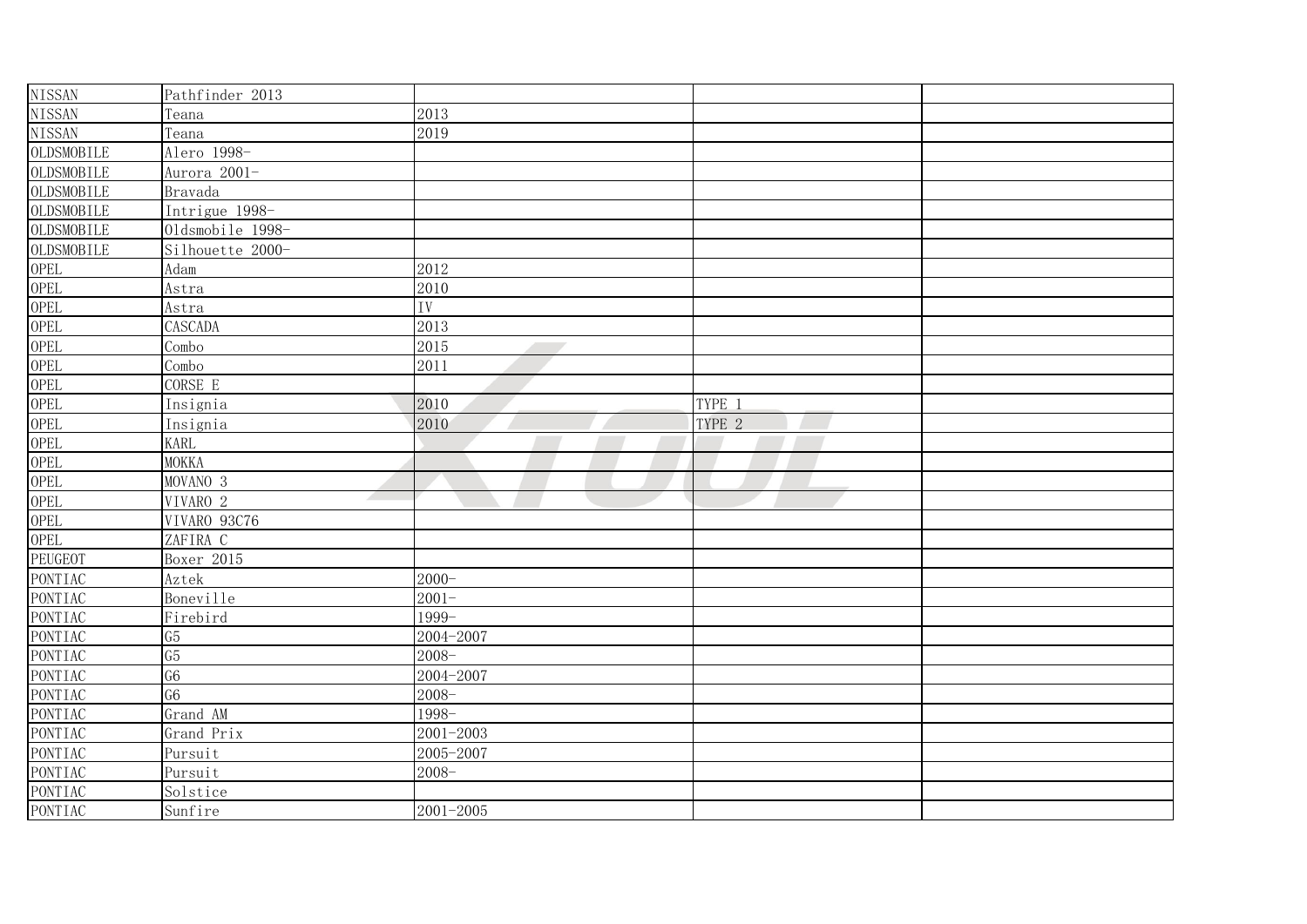| <b>NISSAN</b>      | Pathfinder 2013                      |                 |        |  |
|--------------------|--------------------------------------|-----------------|--------|--|
| <b>NISSAN</b>      | Teana                                | 2013            |        |  |
| <b>NISSAN</b>      | Teana                                | 2019            |        |  |
| OLDSMOBILE         | Alero 1998-                          |                 |        |  |
| OLDSMOBILE         | Aurora 2001-                         |                 |        |  |
| OLDSMOBILE         | Bravada                              |                 |        |  |
| OLDSMOBILE         | Intrigue 1998-                       |                 |        |  |
| OLDSMOBILE         | Oldsmobile 1998-                     |                 |        |  |
| OLDSMOBILE         | Silhouette 2000-                     |                 |        |  |
| <b>OPEL</b>        | Adam                                 | 2012            |        |  |
| <b>OPEL</b>        | Astra                                | 2010            |        |  |
| <b>OPEL</b>        | Astra                                | $\overline{IV}$ |        |  |
| <b>OPEL</b>        | CASCADA                              | 2013            |        |  |
| <b>OPEL</b>        | Combo                                | 2015            |        |  |
| <b>OPEL</b>        | Combo                                | 2011            |        |  |
| <b>OPEL</b>        | CORSE E                              |                 |        |  |
| <b>OPEL</b>        | Insignia                             | 2010            | TYPE 1 |  |
| <b>OPEL</b>        | Insignia                             | 2010            | TYPE 2 |  |
| <b>OPEL</b>        | <b>KARL</b>                          |                 |        |  |
| <b>OPEL</b>        | <b>MOKKA</b>                         |                 |        |  |
| <b>OPEL</b>        | MOVANO <sub>3</sub>                  |                 |        |  |
| <b>OPEL</b>        | VIVARO 2<br>$\overline{\phantom{a}}$ |                 |        |  |
| <b>OPEL</b>        | VIVARO 93C76                         |                 |        |  |
| <b>OPEL</b>        | ZAFIRA C                             |                 |        |  |
| PEUGEOT            | Boxer 2015                           |                 |        |  |
| PONTIAC            | Aztek                                | $2000 -$        |        |  |
| PONTIAC            | Boneville                            | $2001 -$        |        |  |
| PONTIAC            | Firebird                             | 1999-           |        |  |
| <b>PONTIAC</b>     | G <sub>5</sub>                       | 2004-2007       |        |  |
| PONTIAC            | G5                                   | $2008 -$        |        |  |
| PONTIAC            | G <sub>6</sub>                       | 2004-2007       |        |  |
| PONTIAC            | $\overline{G6}$                      | $2008 -$        |        |  |
| PONTIAC            | Grand AM                             | 1998-           |        |  |
| PONTIAC            | Grand Prix                           | 2001-2003       |        |  |
| PONTIAC            | Pursuit                              | 2005-2007       |        |  |
| PONTIAC            | Pursuit                              | $2008 -$        |        |  |
| PONTIAC<br>PONTIAC | Solstice                             |                 |        |  |
|                    | Sunfire                              | $2001 - 2005$   |        |  |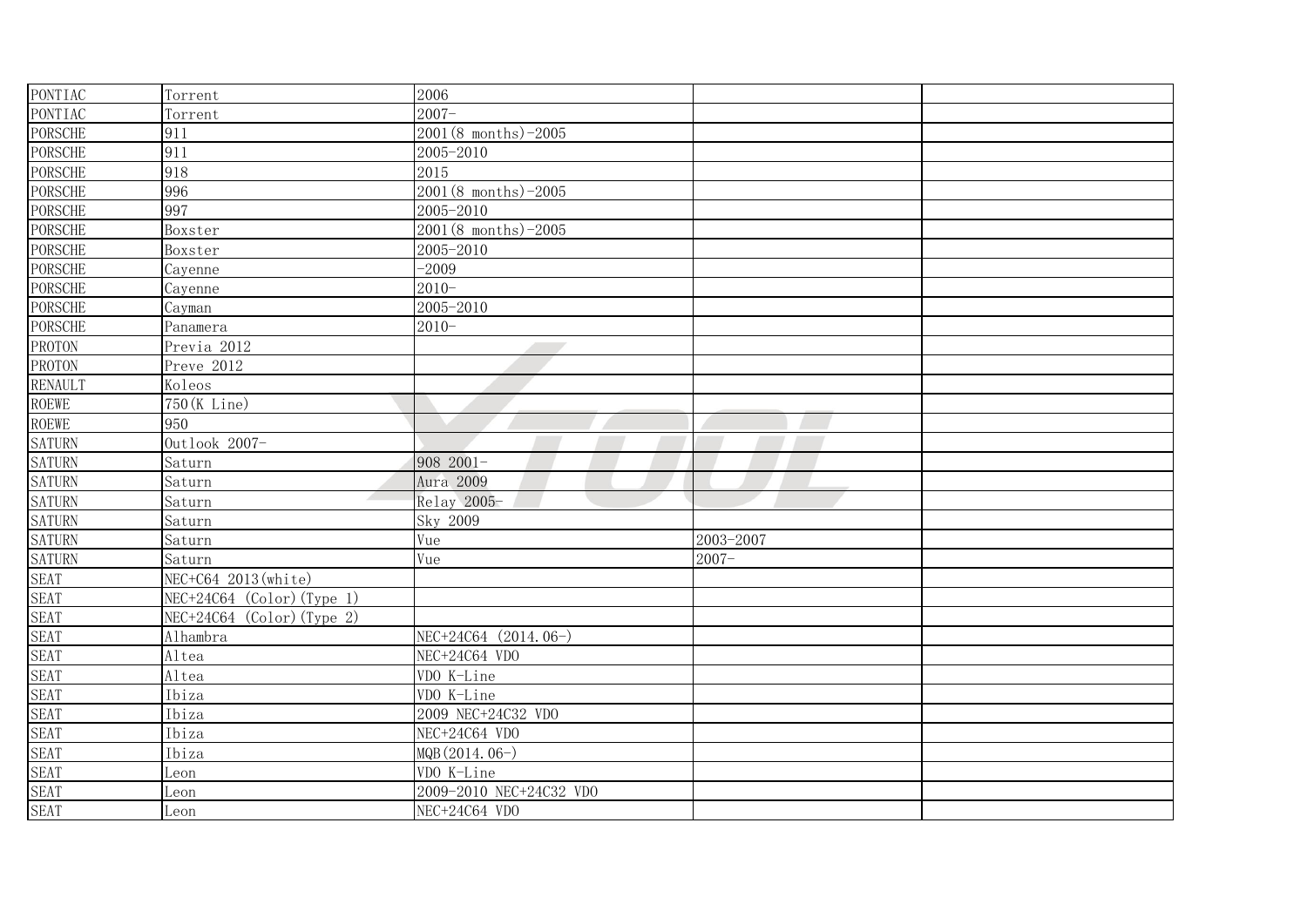| <b>PONTIAC</b>               | Torrent                      | 2006                     |           |  |
|------------------------------|------------------------------|--------------------------|-----------|--|
| PONTIAC                      | Torrent                      | $2007 -$                 |           |  |
| <b>PORSCHE</b>               | 911                          | $2001(8$ months) -2005   |           |  |
| <b>PORSCHE</b>               | 911                          | 2005-2010                |           |  |
| <b>PORSCHE</b>               | 918                          | 2015                     |           |  |
| <b>PORSCHE</b>               | 996                          | $2001(8$ months) $-2005$ |           |  |
| <b>PORSCHE</b>               | 997                          | 2005-2010                |           |  |
| <b>PORSCHE</b>               | Boxster                      | $2001(8$ months) -2005   |           |  |
| <b>PORSCHE</b>               | Boxster                      | 2005-2010                |           |  |
| <b>PORSCHE</b>               | Cayenne                      | $-2009$                  |           |  |
| <b>PORSCHE</b>               | Cayenne                      | $2010 -$                 |           |  |
| <b>PORSCHE</b>               | Cayman                       | 2005-2010                |           |  |
| <b>PORSCHE</b>               | Panamera                     | $2010 -$                 |           |  |
| <b>PROTON</b>                | Previa 2012                  |                          |           |  |
| <b>PROTON</b>                | Preve 2012                   |                          |           |  |
| <b>RENAULT</b>               | Koleos                       |                          |           |  |
| <b>ROEWE</b>                 | 750 (K Line)                 |                          |           |  |
| <b>ROEWE</b>                 | 950                          |                          |           |  |
| <b>SATURN</b>                | Outlook 2007-                |                          |           |  |
| <b>SATURN</b>                | Saturn                       | 908 2001-                |           |  |
| <b>SATURN</b>                | Saturn                       | Aura 2009                |           |  |
| <b>SATURN</b>                | Saturn                       | Relay 2005-              |           |  |
| <b>SATURN</b>                | Saturn                       | Sky 2009                 |           |  |
| <b>SATURN</b>                | Saturn                       | Vue                      | 2003-2007 |  |
| <b>SATURN</b>                | Saturn                       | Vue                      | $2007 -$  |  |
| <b>SEAT</b>                  | NEC+C64 2013 (white)         |                          |           |  |
| <b>SEAT</b>                  | $NEC+24C64$ (Color) (Type 1) |                          |           |  |
| <b>SEAT</b>                  | $NEC+24C64$ (Color) (Type 2) |                          |           |  |
| <b>SEAT</b>                  | Alhambra                     | NEC+24C64 (2014.06-)     |           |  |
| <b>SEAT</b>                  | Altea                        | NEC+24C64 VDO            |           |  |
| <b>SEAT</b>                  | Altea                        | VDO K-Line               |           |  |
| <b>SEAT</b>                  | Ibiza                        | VDO K-Line               |           |  |
|                              | Ibiza                        | 2009 NEC+24C32 VDO       |           |  |
|                              | Ibiza                        | NEC+24C64 VDO            |           |  |
| SEAT<br>SEAT<br>SEAT         | Ibiza                        | MQB (2014.06-)           |           |  |
| SEAT<br>SEAT<br>SEAT<br>SEAT | Leon                         | VDO K-Line               |           |  |
|                              | Leon                         | 2009-2010 NEC+24C32 VDO  |           |  |
|                              | Leon                         | NEC+24C64 VDO            |           |  |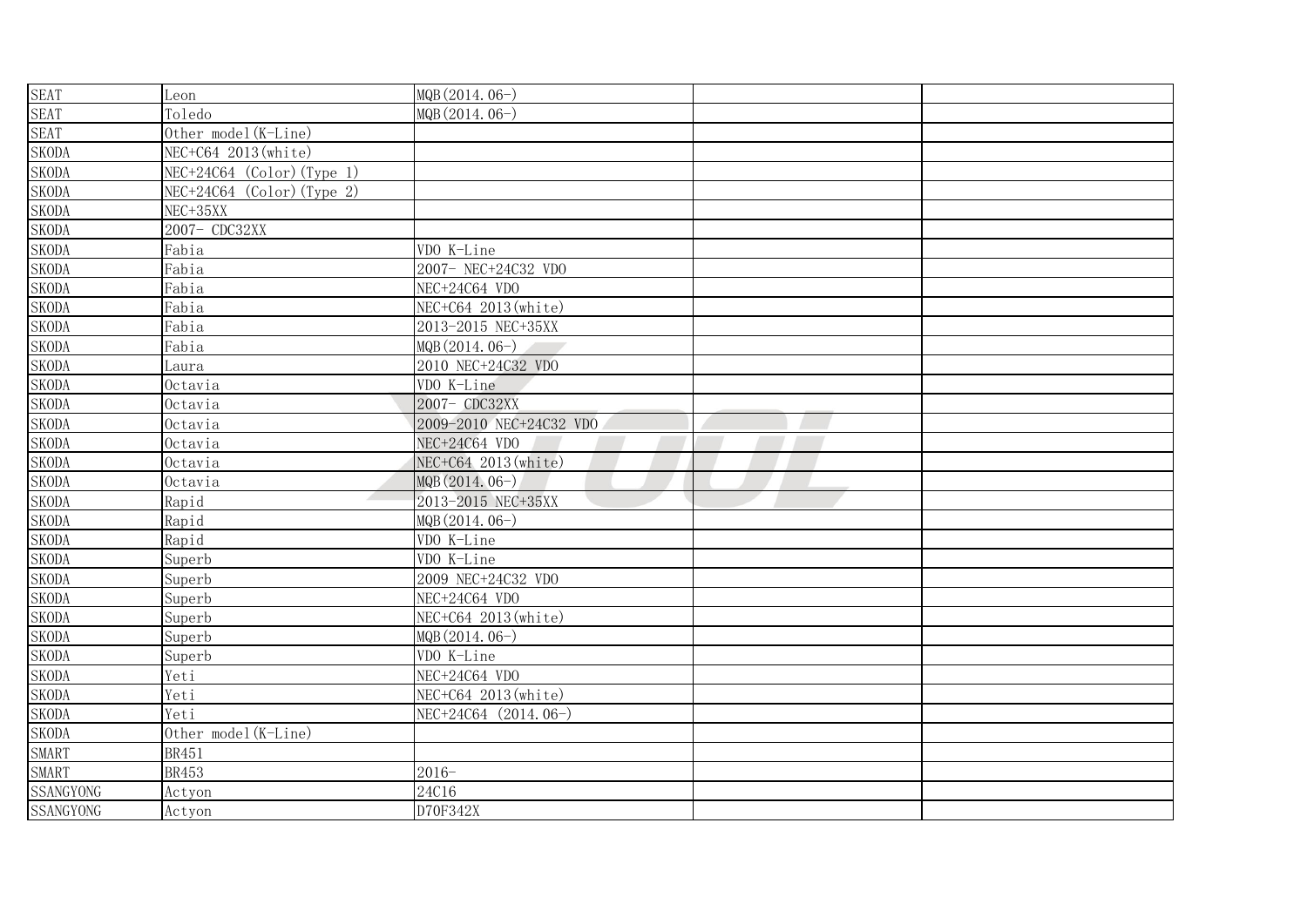| <b>SEAT</b>      | Leon                         | MQB (2014.06-)          |
|------------------|------------------------------|-------------------------|
| <b>SEAT</b>      | Toledo                       | MQB (2014.06-)          |
| <b>SEAT</b>      | Other model (K-Line)         |                         |
| <b>SKODA</b>     | NEC+C64 2013(white)          |                         |
| <b>SKODA</b>     | $NEC+24C64$ (Color) (Type 1) |                         |
| <b>SKODA</b>     | $NEC+24C64$ (Color) (Type 2) |                         |
| <b>SKODA</b>     | NEC+35XX                     |                         |
| <b>SKODA</b>     | 2007- CDC32XX                |                         |
| <b>SKODA</b>     | Fabia                        | VDO K-Line              |
| <b>SKODA</b>     | Fabia                        | 2007- NEC+24C32 VDO     |
| <b>SKODA</b>     | Fabia                        | NEC+24C64 VDO           |
| <b>SKODA</b>     | Fabia                        | NEC+C64 2013 (white)    |
| <b>SKODA</b>     | Fabia                        | 2013-2015 NEC+35XX      |
| <b>SKODA</b>     | Fabia                        | MQB (2014.06-)          |
| <b>SKODA</b>     | Laura                        | 2010 NEC+24C32 VDO      |
| <b>SKODA</b>     | Octavia                      | VDO K-Line              |
| <b>SKODA</b>     | Octavia                      | 2007- CDC32XX           |
| <b>SKODA</b>     | Octavia                      | 2009-2010 NEC+24C32 VDO |
| <b>SKODA</b>     | Octavia                      | NEC+24C64 VDO           |
| <b>SKODA</b>     | Octavia                      | NEC+C64 2013 (white)    |
| <b>SKODA</b>     | Octavia                      | MQB (2014.06-)          |
| <b>SKODA</b>     | Rapid                        | 2013-2015 NEC+35XX      |
| <b>SKODA</b>     | Rapid                        | MQB (2014.06-)          |
| <b>SKODA</b>     | Rapid                        | VDO K-Line              |
| <b>SKODA</b>     | Superb                       | VDO K-Line              |
| <b>SKODA</b>     | Superb                       | 2009 NEC+24C32 VDO      |
| <b>SKODA</b>     | Superb                       | NEC+24C64 VDO           |
| <b>SKODA</b>     | Superb                       | NEC+C64 2013 (white)    |
| <b>SKODA</b>     | Superb                       | MQB (2014.06-)          |
| <b>SKODA</b>     | Superb                       | VDO K-Line              |
| <b>SKODA</b>     | Yeti                         | NEC+24C64 VDO           |
| <b>SKODA</b>     | Yeti                         | NEC+C64 2013 (white)    |
| <b>SKODA</b>     | Yeti                         | NEC+24C64 (2014.06-)    |
| <b>SKODA</b>     | Other model (K-Line)         |                         |
| <b>SMART</b>     | <b>BR451</b>                 |                         |
| <b>SMART</b>     | <b>BR453</b>                 | $2016 -$                |
| SSANGYONG        | Actyon                       | 24C16                   |
| <b>SSANGYONG</b> | Actyon                       | D70F342X                |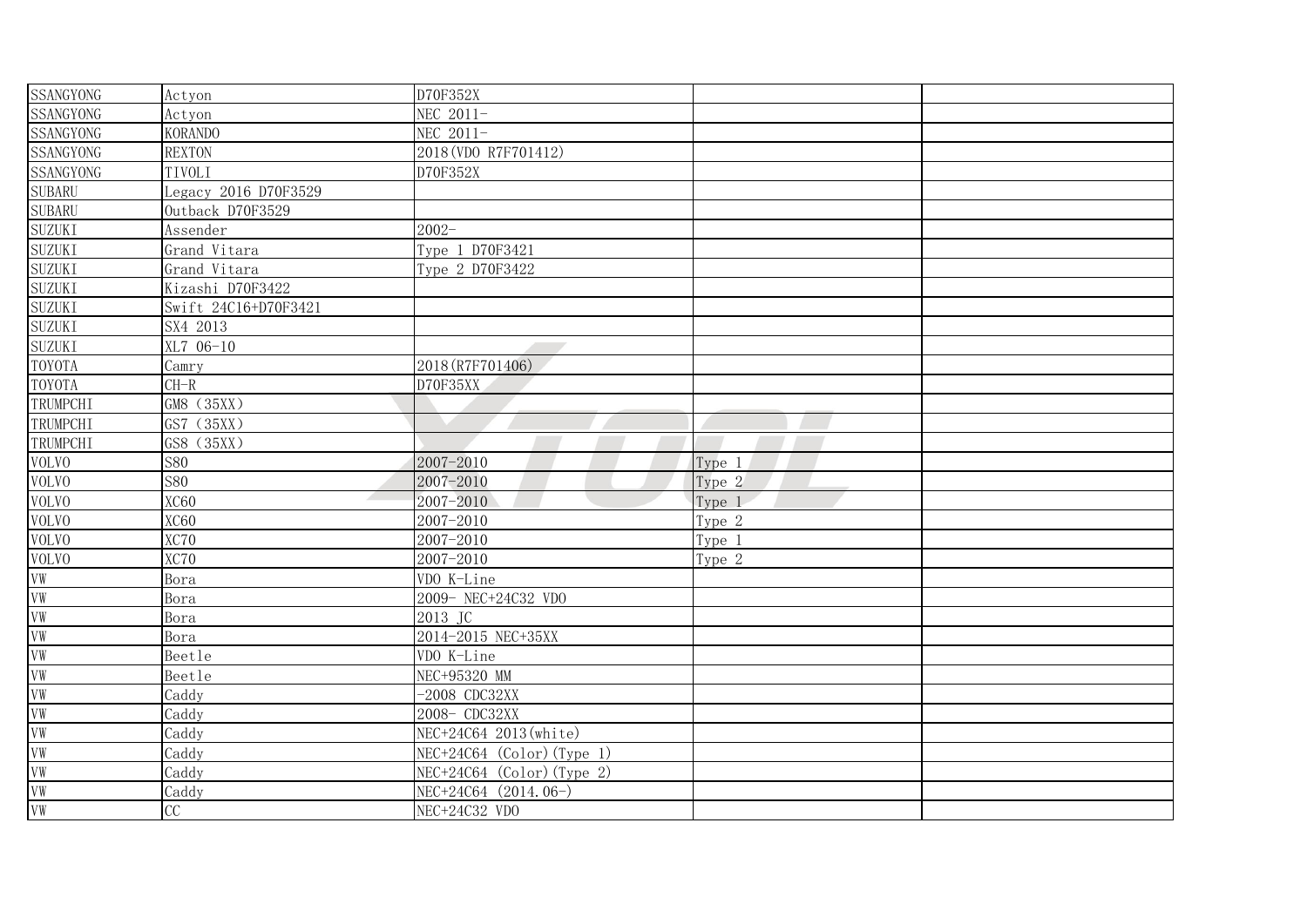| <b>SSANGYONG</b>                                                     | Actyon                 | D70F352X                     |        |  |
|----------------------------------------------------------------------|------------------------|------------------------------|--------|--|
| <b>SSANGYONG</b>                                                     | Actyon                 | NEC 2011-                    |        |  |
| SSANGYONG                                                            | <b>KORANDO</b>         | NEC 2011-                    |        |  |
| <b>SSANGYONG</b>                                                     | <b>REXTON</b>          | 2018 (VDO R7F701412)         |        |  |
| <b>SSANGYONG</b>                                                     | TIVOLI                 | D70F352X                     |        |  |
| <b>SUBARU</b>                                                        | Legacy 2016 D70F3529   |                              |        |  |
| <b>SUBARU</b>                                                        | Outback D70F3529       |                              |        |  |
| <b>SUZUKI</b>                                                        | Assender               | $2002 -$                     |        |  |
| <b>SUZUKI</b>                                                        | Grand Vitara           | Type 1 D70F3421              |        |  |
| <b>SUZUKI</b>                                                        | Grand Vitara           | Type 2 D70F3422              |        |  |
| <b>SUZUKI</b>                                                        | Kizashi D70F3422       |                              |        |  |
| <b>SUZUKI</b>                                                        | Swift 24C16+D70F3421   |                              |        |  |
| <b>SUZUKI</b>                                                        | SX4 2013               |                              |        |  |
| <b>SUZUKI</b>                                                        | XL7 06-10              |                              |        |  |
| <b>TOYOTA</b>                                                        | Camry                  | 2018 (R7F701406)             |        |  |
| <b>TOYOTA</b>                                                        | $CH-R$                 | D70F35XX                     |        |  |
| TRUMPCHI                                                             | GM8 (35XX)             |                              |        |  |
| TRUMPCHI                                                             | GS7<br>(35XX)          |                              |        |  |
| TRUMPCHI                                                             | GS8<br>(35XX)          |                              |        |  |
| <b>VOLVO</b>                                                         | <b>S80</b>             | 2007-2010                    | Type 1 |  |
| <b>VOLVO</b>                                                         | <b>S80</b>             | 2007-2010                    | Type 2 |  |
| <b>VOLVO</b>                                                         | <b>XC60</b>            | 2007-2010                    | Type 1 |  |
| <b>VOLVO</b>                                                         | <b>XC60</b>            | 2007-2010                    | Type 2 |  |
| <b>VOLVO</b>                                                         | XC70                   | 2007-2010                    | Type 1 |  |
| <b>VOLVO</b>                                                         | XC70                   | 2007-2010                    | Type 2 |  |
|                                                                      | Bora                   | VDO K-Line                   |        |  |
|                                                                      | Bora                   | 2009- NEC+24C32 VDO          |        |  |
|                                                                      | Bora                   | 2013 JC                      |        |  |
|                                                                      | Bora                   | 2014-2015 NEC+35XX           |        |  |
|                                                                      | Beetle                 | VDO K-Line                   |        |  |
|                                                                      | Beetle                 | NEC+95320 MM                 |        |  |
|                                                                      | Caddy                  | $-2008$ CDC32XX              |        |  |
| VW<br>VW<br>VW<br>VW<br>VW<br>VW<br>VW<br>VW<br>VW<br>VW<br>VW<br>VW | Caddy                  | 2008- CDC32XX                |        |  |
|                                                                      | Caddy                  | NEC+24C64 2013(white)        |        |  |
|                                                                      | Caddy                  | $NEC+24C64$ (Color) (Type 1) |        |  |
|                                                                      | Caddy                  | $NEC+24C64$ (Color) (Type 2) |        |  |
|                                                                      | Caddy                  | NEC+24C64 (2014.06-)         |        |  |
|                                                                      | $\overline{\text{CC}}$ | $NEC+24C32$ VDO              |        |  |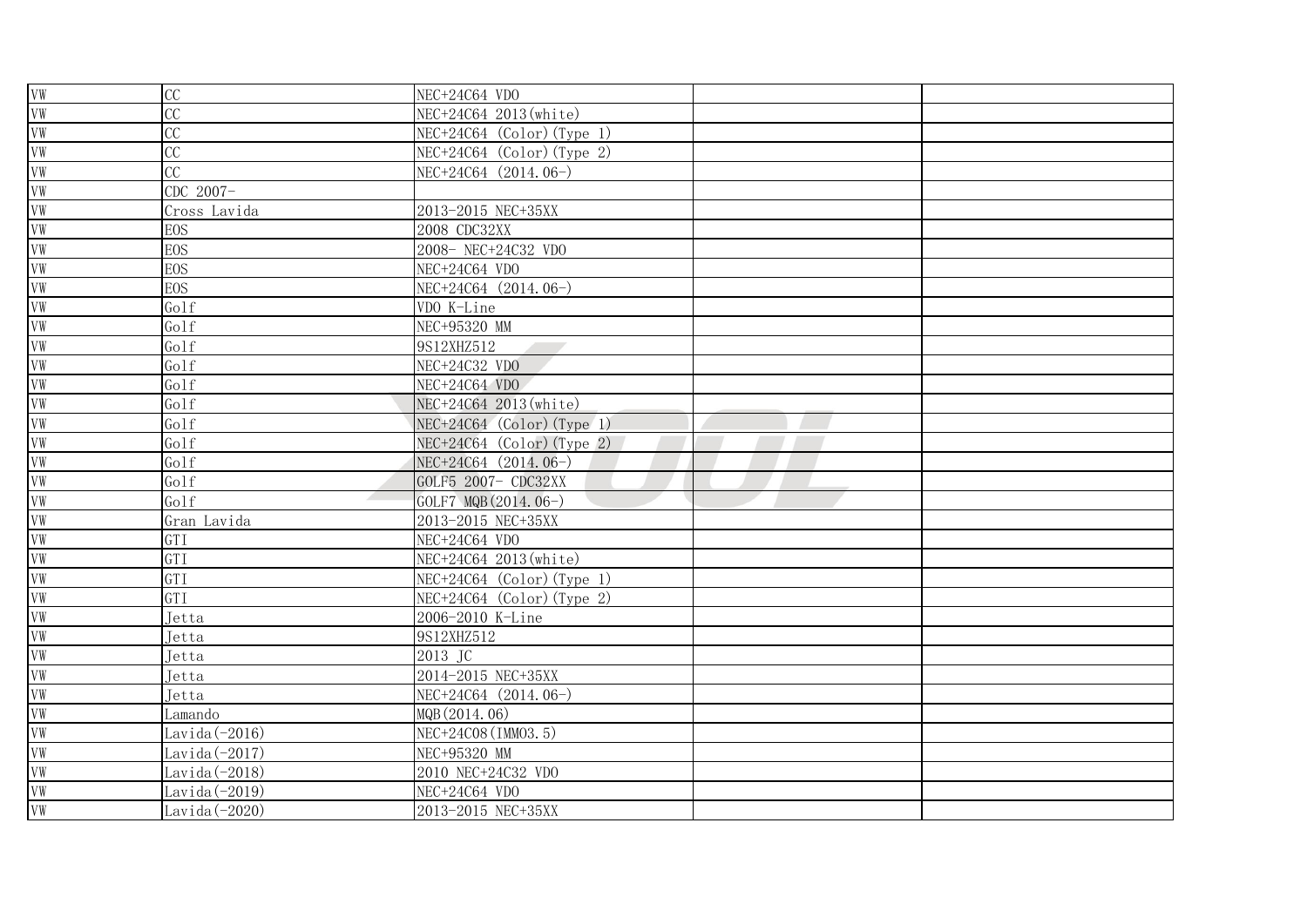| VW         | CC               | NEC+24C64 VDO                |  |
|------------|------------------|------------------------------|--|
| VW         | CC               | NEC+24C64 2013 (white)       |  |
| VW         | CC               | $NEC+24C64$ (Color) (Type 1) |  |
| VW         | CC               | $NEC+24C64$ (Color) (Type 2) |  |
| VW         | CC               | NEC+24C64 (2014.06-)         |  |
| VW         | CDC 2007-        |                              |  |
| VW         | Cross Lavida     | 2013-2015 NEC+35XX           |  |
| VW         | <b>EOS</b>       | 2008 CDC32XX                 |  |
| VW         | <b>EOS</b>       | 2008- NEC+24C32 VDO          |  |
| VW         | <b>EOS</b>       | NEC+24C64 VDO                |  |
| VW         | <b>EOS</b>       | NEC+24C64 (2014.06-)         |  |
| VW         | Golf             | VDO K-Line                   |  |
| ${\it VW}$ | Golf             | NEC+95320 MM                 |  |
| VW         | Golf             | 9S12XHZ512                   |  |
| VW         | Golf             | NEC+24C32 VDO                |  |
| VW         | Golf             | NEC+24C64 VDO                |  |
| VW         | Golf             | NEC+24C64 2013 (white)       |  |
| VW         | Golf             | $NEC+24C64$ (Color) (Type 1) |  |
| VW         | Golf             | $NEC+24C64$ (Color) (Type 2) |  |
| VW         | Golf             | NEC+24C64 (2014.06-)         |  |
| VW         | Golf             | GOLF5 2007- CDC32XX          |  |
| VW         | Golf             | GOLF7 MQB (2014.06-)         |  |
| VW         | Gran Lavida      | 2013-2015 NEC+35XX           |  |
| VW         | GTI              | NEC+24C64 VDO                |  |
| VW         | GTI              | NEC+24C64 2013 (white)       |  |
| VW         | GTI              | $NEC+24C64$ (Color) (Type 1) |  |
| VW         | GTI              | $NEC+24C64$ (Color) (Type 2) |  |
| ${\tt VW}$ | Jetta            | 2006-2010 K-Line             |  |
| VW         | Jetta            | 9S12XHZ512                   |  |
| ${\rm VW}$ | Jetta            | 2013 JC                      |  |
| ${\rm VW}$ | Jetta            | 2014-2015 NEC+35XX           |  |
| VW         | Jetta            | NEC+24C64 (2014.06-)         |  |
| VW         | Lamando          | MQB (2014.06)                |  |
| VW         | Lavida (-2016)   | NEC+24C08 (IMM03.5)          |  |
| VW         | Lavida (-2017)   | NEC+95320 MM                 |  |
| VW         | Lavida (-2018)   | 2010 NEC+24C32 VDO           |  |
| VW         | Lavida $(-2019)$ | NEC+24C64 VDO                |  |
| VW         | Lavida $(-2020)$ | 2013-2015 NEC+35XX           |  |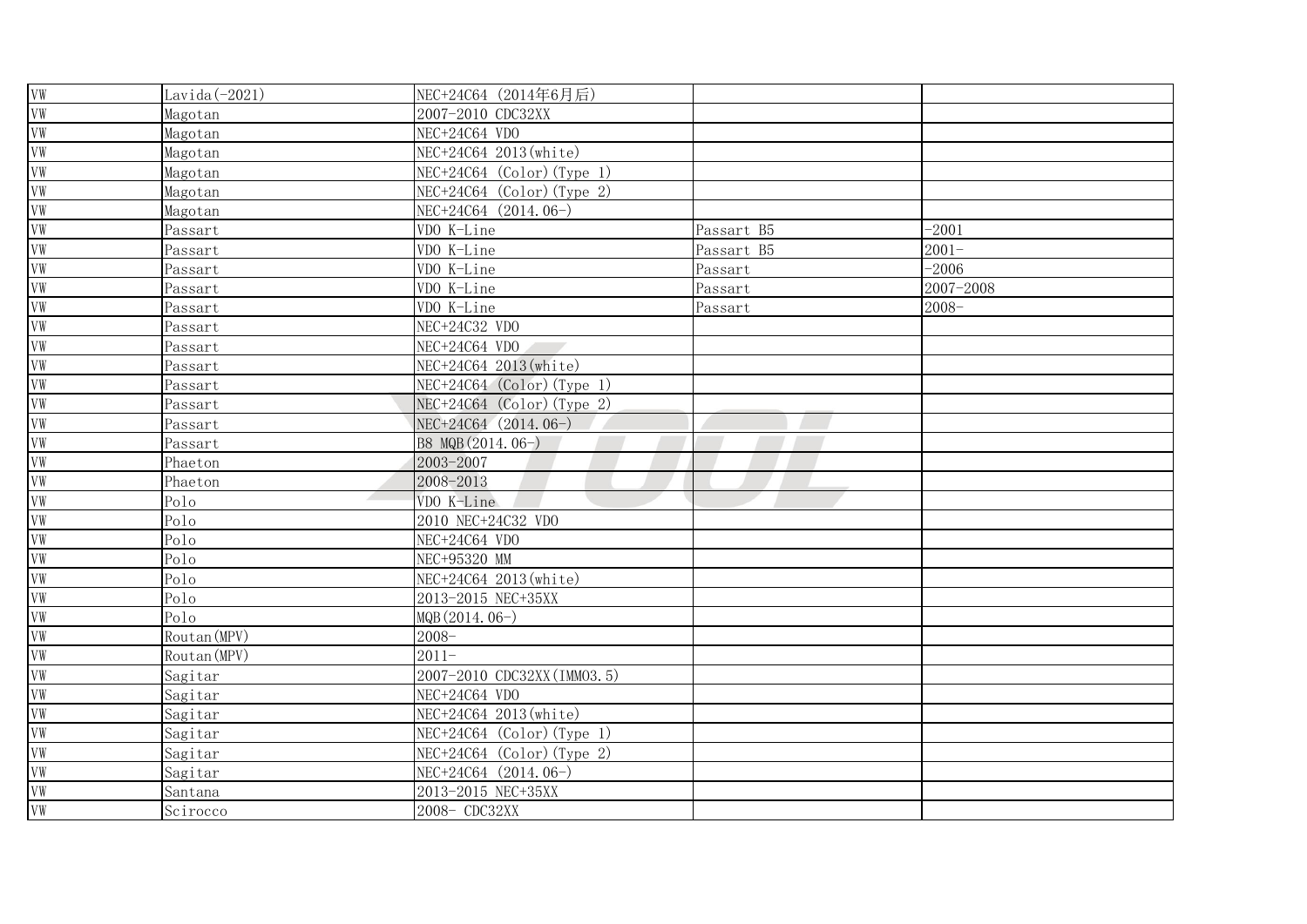| ${\it VW}$ | Lavida $(-2021)$ | NEC+24C64 (2014年6月后)         |            |           |  |
|------------|------------------|------------------------------|------------|-----------|--|
| VW         | Magotan          | 2007-2010 CDC32XX            |            |           |  |
| ${\rm VW}$ | Magotan          | NEC+24C64 VDO                |            |           |  |
| VW         | Magotan          | NEC+24C64 2013(white)        |            |           |  |
| VW         | Magotan          | $NEC+24C64$ (Color) (Type 1) |            |           |  |
| VW         | Magotan          | $NEC+24C64$ (Color) (Type 2) |            |           |  |
| VW         | Magotan          | NEC+24C64 (2014.06-)         |            |           |  |
| VW         | Passart          | VDO K-Line                   | Passart B5 | $-2001$   |  |
| VW         | Passart          | VDO K-Line                   | Passart B5 | $2001 -$  |  |
| VW         | Passart          | VDO K-Line                   | Passart    | $-2006$   |  |
| VW         | Passart          | VDO K-Line                   | Passart    | 2007-2008 |  |
| VW         | Passart          | VDO K-Line                   | Passart    | $2008 -$  |  |
| VW         | Passart          | NEC+24C32 VDO                |            |           |  |
| VW         | Passart          | NEC+24C64 VDO                |            |           |  |
| VW         | Passart          | NEC+24C64 2013 (white)       |            |           |  |
| VW         | Passart          | $NEC+24C64$ (Color) (Type 1) |            |           |  |
| VW         | Passart          | $NEC+24C64$ (Color) (Type 2) |            |           |  |
| VW         | Passart          | NEC+24C64 (2014.06-)         |            |           |  |
| VW         | Passart          | B8 MQB (2014.06-)            |            |           |  |
| VW         | Phaeton          | 2003-2007                    |            |           |  |
| VW         | Phaeton          | 2008-2013                    |            |           |  |
| VW         | Polo             | VDO K-Line                   |            |           |  |
| VW         | Polo             | 2010 NEC+24C32 VDO           |            |           |  |
| VW         | Polo             | NEC+24C64 VDO                |            |           |  |
| VW         | Polo             | NEC+95320 MM                 |            |           |  |
| VW         | Polo             | NEC+24C64 2013 (white)       |            |           |  |
| ${\tt VW}$ | Polo             | 2013-2015 NEC+35XX           |            |           |  |
| ${\rm VW}$ | Polo             | MQB (2014.06-)               |            |           |  |
| VW         | Routan (MPV)     | $2008 -$                     |            |           |  |
| VW         | Routan (MPV)     | $2011 -$                     |            |           |  |
| VW         | Sagitar          | 2007-2010 CDC32XX (IMM03.5)  |            |           |  |
| VW         | Sagitar          | NEC+24C64 VDO                |            |           |  |
| VW         | Sagitar          | NEC+24C64 2013(white)        |            |           |  |
| VW         | Sagitar          | $NEC+24C64$ (Color) (Type 1) |            |           |  |
| ${\tt VW}$ | Sagitar          | $NEC+24C64$ (Color) (Type 2) |            |           |  |
| VW         | Sagitar          | NEC+24C64 (2014.06-)         |            |           |  |
| VW         | Santana          | 2013-2015 NEC+35XX           |            |           |  |
| VW         | Scirocco         | 2008- CDC32XX                |            |           |  |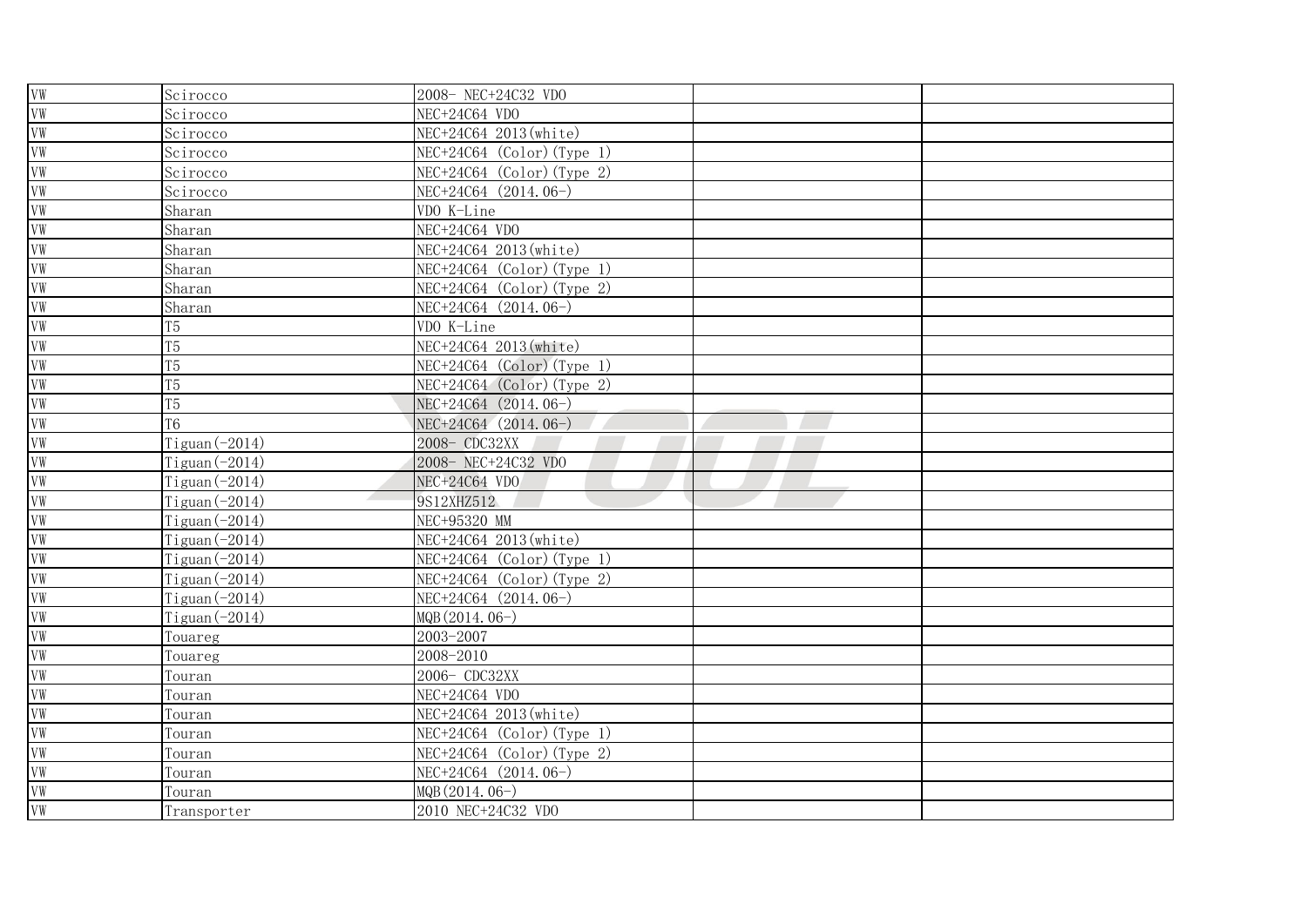| VW         | Scirocco            | 2008- NEC+24C32 VDO          |  |
|------------|---------------------|------------------------------|--|
| VW         | Scirocco            | NEC+24C64 VDO                |  |
| ${\rm VW}$ | Scirocco            | NEC+24C64_2013(white)        |  |
| VW         | Scirocco            | $NEC+24C64$ (Color) (Type 1) |  |
| VW         | Scirocco            | $NEC+24C64$ (Color) (Type 2) |  |
| VW         | Scirocco            | NEC+24C64 (2014.06-)         |  |
| VW         | Sharan              | VDO K-Line                   |  |
| VW         | Sharan              | NEC+24C64 VDO                |  |
| VW         | Sharan              | NEC+24C64 2013(white)        |  |
| VW         | Sharan              | $NEC+24C64$ (Color) (Type 1) |  |
| VW         | Sharan              | $NEC+24C64$ (Color) (Type 2) |  |
| VW         | Sharan              | NEC+24C64 (2014.06-)         |  |
| VW         | T <sub>5</sub>      | VDO K-Line                   |  |
| VW         | T <sub>5</sub>      | NEC+24C64 2013(white)        |  |
| VW         | T5                  | $NEC+24C64$ (Color) (Type 1) |  |
| VW         | T <sub>5</sub>      | $NEC+24C64$ (Color) (Type 2) |  |
| VW         | T5                  | NEC+24C64 (2014.06-)         |  |
| VW         | T <sub>6</sub>      | NEC+24C64 (2014.06-)         |  |
| VW         | $T$ iguan $(-2014)$ | 2008- CDC32XX                |  |
| VW         | Tiguan $(-2014)$    | 2008- NEC+24C32 VDO          |  |
| VW         | $T$ iguan $(-2014)$ | NEC+24C64 VDO                |  |
| VW         | Tiguan $(-2014)$    | 9S12XHZ512                   |  |
| VW         | Tiguan $(-2014)$    | NEC+95320 MM                 |  |
| VW         | Tiguan $(-2014)$    | NEC+24C64 2013 (white)       |  |
| VW         | $T$ iguan $(-2014)$ | $NEC+24C64$ (Color) (Type 1) |  |
| VW         | $T$ iguan $(-2014)$ | $NEC+24C64$ (Color) (Type 2) |  |
| ${\rm VW}$ | Tiguan $(-2014)$    | NEC+24C64 (2014.06-)         |  |
| ${\rm VW}$ | Tiguan $(-2014)$    | MQB (2014.06-)               |  |
| VW         | Touareg             | 2003-2007                    |  |
| VW         | Touareg             | 2008-2010                    |  |
| VW         | Touran              | 2006- CDC32XX                |  |
| VW         | Touran              | NEC+24C64 VDO                |  |
| VW         | ſouran              | NEC+24C64 2013(white)        |  |
| VW         | Touran              | $NEC+24C64$ (Color) (Type 1) |  |
| ${\tt VW}$ | Touran              | NEC+24C64 (Color) (Type 2)   |  |
| VW         | Touran              | NEC+24C64 (2014.06-)         |  |
| VW         | Touran              | MQB (2014.06-)               |  |
| VW         | Transporter         | 2010 NEC+24C32 VDO           |  |